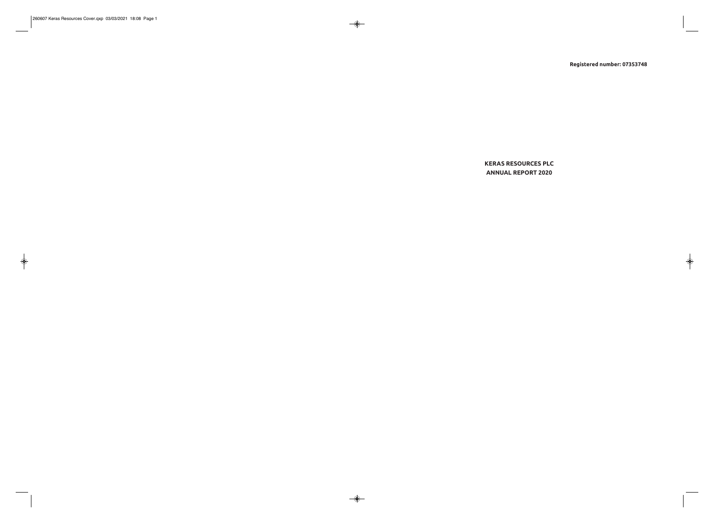**Registered number: 07353748** 

# **KERAS RESOURCES PLC ANNUAL REPORT 2020**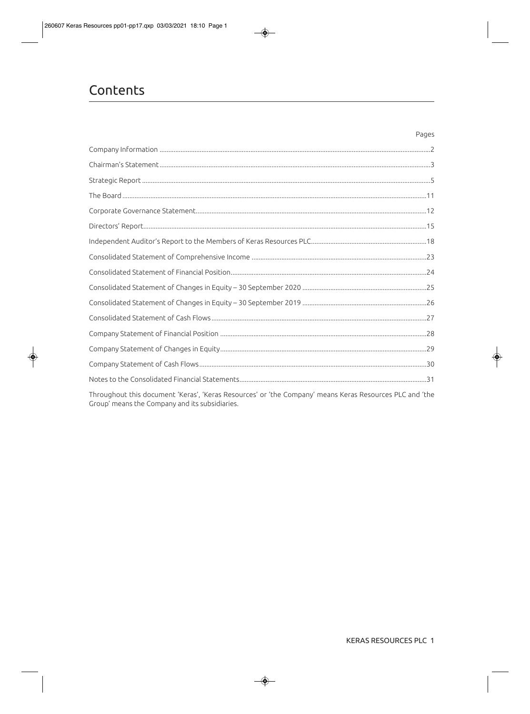# Contents

Throughout this document 'Keras', 'Keras Resources' or 'the Company' means Keras Resources PLC and 'the Group' means the Company and its subsidiaries.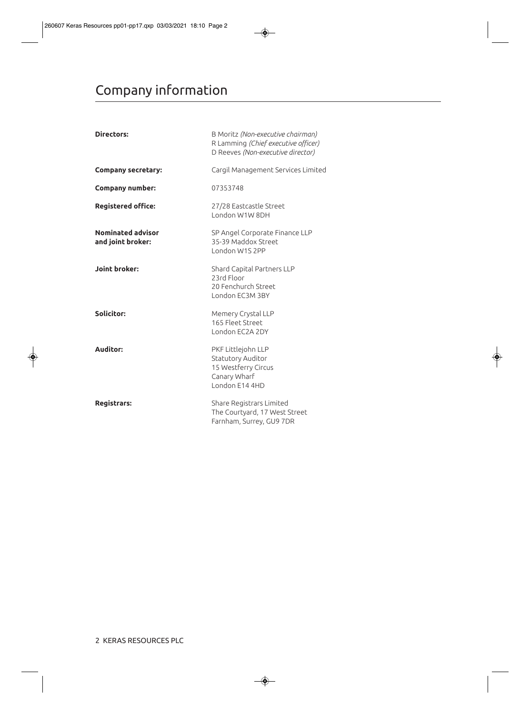# Company information

| Directors:                                    | B Moritz (Non-executive chairman)<br>R Lamming (Chief executive officer)<br>D Reeves (Non-executive director) |
|-----------------------------------------------|---------------------------------------------------------------------------------------------------------------|
| <b>Company secretary:</b>                     | Cargil Management Services Limited                                                                            |
| <b>Company number:</b>                        | 07353748                                                                                                      |
| <b>Registered office:</b>                     | 27/28 Eastcastle Street<br>London W1W 8DH                                                                     |
| <b>Nominated advisor</b><br>and joint broker: | SP Angel Corporate Finance LLP<br>35-39 Maddox Street<br>London W1S 2PP                                       |
| <b>Joint broker:</b>                          | Shard Capital Partners LLP<br>23rd Floor<br>20 Fenchurch Street<br>London EC3M 3BY                            |
| Solicitor:                                    | Memery Crystal LLP<br>165 Fleet Street<br>London EC2A 2DY                                                     |
| <b>Auditor:</b>                               | PKF Littlejohn LLP<br>Statutory Auditor<br>15 Westferry Circus<br>Canary Wharf<br>London E14 4HD              |
| <b>Registrars:</b>                            | Share Registrars Limited<br>The Courtyard, 17 West Street<br>Farnham, Surrey, GU9 7DR                         |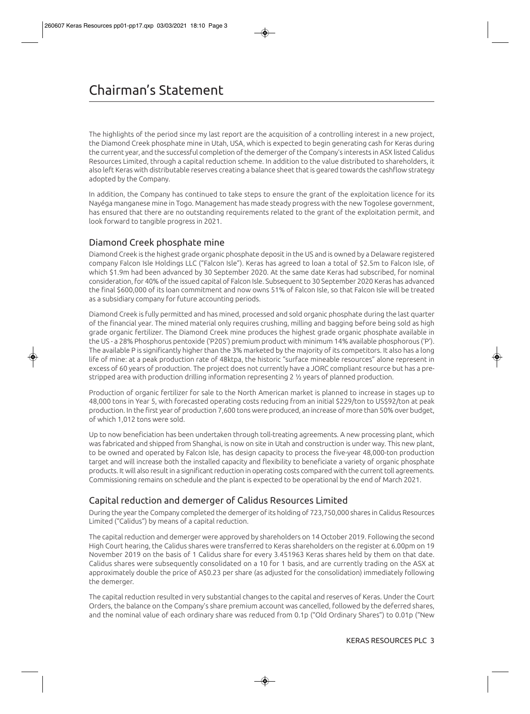The highlights of the period since my last report are the acquisition of a controlling interest in a new project, the Diamond Creek phosphate mine in Utah, USA, which is expected to begin generating cash for Keras during the current year, and the successful completion of the demerger of the Company's interests in ASX listed Calidus Resources Limited, through a capital reduction scheme. In addition to the value distributed to shareholders, it also left Keras with distributable reserves creating a balance sheet that is geared towards the cashflow strategy adopted by the Company.

In addition, the Company has continued to take steps to ensure the grant of the exploitation licence for its Nayéga manganese mine in Togo. Management has made steady progress with the new Togolese government, has ensured that there are no outstanding requirements related to the grant of the exploitation permit, and look forward to tangible progress in 2021.

## Diamond Creek phosphate mine

Diamond Creek is the highest grade organic phosphate deposit in the US and is owned by a Delaware registered company Falcon Isle Holdings LLC ("Falcon Isle"). Keras has agreed to loan a total of \$2.5m to Falcon Isle, of which \$1.9m had been advanced by 30 September 2020. At the same date Keras had subscribed, for nominal consideration, for 40% of the issued capital of Falcon Isle. Subsequent to 30 September 2020 Keras has advanced the final \$600,000 of its loan commitment and now owns 51% of Falcon Isle, so that Falcon Isle will be treated as a subsidiary company for future accounting periods.

Diamond Creek is fully permitted and has mined, processed and sold organic phosphate during the last quarter of the financial year. The mined material only requires crushing, milling and bagging before being sold as high grade organic fertilizer. The Diamond Creek mine produces the highest grade organic phosphate available in the US - a 28% Phosphorus pentoxide ('P205') premium product with minimum 14% available phosphorous ('P'). The available P is significantly higher than the 3% marketed by the majority of its competitors. It also has a long life of mine: at a peak production rate of 48ktpa, the historic "surface mineable resources" alone represent in excess of 60 years of production. The project does not currently have a JORC compliant resource but has a prestripped area with production drilling information representing 2 ½ years of planned production.

Production of organic fertilizer for sale to the North American market is planned to increase in stages up to 48,000 tons in Year 5, with forecasted operating costs reducing from an initial \$229/ton to US\$92/ton at peak production. In the first year of production 7,600 tons were produced, an increase of more than 50% over budget, of which 1,012 tons were sold.

Up to now beneficiation has been undertaken through toll-treating agreements. A new processing plant, which was fabricated and shipped from Shanghai, is now on site in Utah and construction is under way. This new plant, to be owned and operated by Falcon Isle, has design capacity to process the five-year 48,000-ton production target and will increase both the installed capacity and flexibility to beneficiate a variety of organic phosphate products. It will also result in a significant reduction in operating costs compared with the current toll agreements. Commissioning remains on schedule and the plant is expected to be operational by the end of March 2021.

# Capital reduction and demerger of Calidus Resources Limited

During the year the Company completed the demerger of its holding of 723,750,000 shares in Calidus Resources Limited ("Calidus") by means of a capital reduction.

The capital reduction and demerger were approved by shareholders on 14 October 2019. Following the second High Court hearing, the Calidus shares were transferred to Keras shareholders on the register at 6.00pm on 19 November 2019 on the basis of 1 Calidus share for every 3.451963 Keras shares held by them on that date. Calidus shares were subsequently consolidated on a 10 for 1 basis, and are currently trading on the ASX at approximately double the price of A\$0.23 per share (as adjusted for the consolidation) immediately following the demerger.

The capital reduction resulted in very substantial changes to the capital and reserves of Keras. Under the Court Orders, the balance on the Company's share premium account was cancelled, followed by the deferred shares, and the nominal value of each ordinary share was reduced from 0.1p ("Old Ordinary Shares") to 0.01p ("New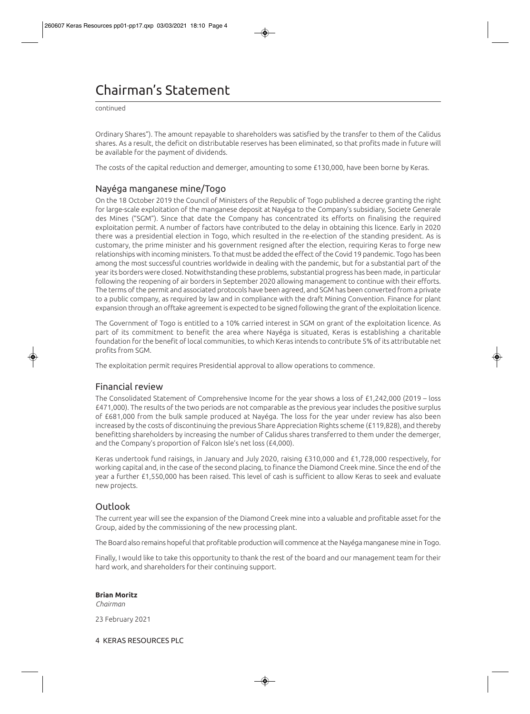# Chairman's Statement

continued

Ordinary Shares"). The amount repayable to shareholders was satisfied by the transfer to them of the Calidus shares. As a result, the deficit on distributable reserves has been eliminated, so that profits made in future will be available for the payment of dividends.

The costs of the capital reduction and demerger, amounting to some £130,000, have been borne by Keras.

## Nayéga manganese mine/Togo

On the 18 October 2019 the Council of Ministers of the Republic of Togo published a decree granting the right for large-scale exploitation of the manganese deposit at Nayéga to the Company's subsidiary, Societe Generale des Mines ("SGM"). Since that date the Company has concentrated its efforts on finalising the required exploitation permit. A number of factors have contributed to the delay in obtaining this licence. Early in 2020 there was a presidential election in Togo, which resulted in the re-election of the standing president. As is customary, the prime minister and his government resigned after the election, requiring Keras to forge new relationships with incoming ministers. To that must be added the effect of the Covid 19 pandemic. Togo has been among the most successful countries worldwide in dealing with the pandemic, but for a substantial part of the year its borders were closed. Notwithstanding these problems, substantial progress has been made, in particular following the reopening of air borders in September 2020 allowing management to continue with their efforts. The terms of the permit and associated protocols have been agreed, and SGM has been converted from a private to a public company, as required by law and in compliance with the draft Mining Convention. Finance for plant expansion through an offtake agreement is expected to be signed following the grant of the exploitation licence.

The Government of Togo is entitled to a 10% carried interest in SGM on grant of the exploitation licence. As part of its commitment to benefit the area where Nayéga is situated, Keras is establishing a charitable foundation for the benefit of local communities, to which Keras intends to contribute 5% of its attributable net profits from SGM.

The exploitation permit requires Presidential approval to allow operations to commence.

## Financial review

The Consolidated Statement of Comprehensive Income for the year shows a loss of £1,242,000 (2019 – loss £471,000). The results of the two periods are not comparable as the previous year includes the positive surplus of £681,000 from the bulk sample produced at Nayéga. The loss for the year under review has also been increased by the costs of discontinuing the previous Share Appreciation Rights scheme (£119,828), and thereby benefitting shareholders by increasing the number of Calidus shares transferred to them under the demerger, and the Company's proportion of Falcon Isle's net loss (£4,000).

Keras undertook fund raisings, in January and July 2020, raising £310,000 and £1,728,000 respectively, for working capital and, in the case of the second placing, to finance the Diamond Creek mine. Since the end of the year a further £1,550,000 has been raised. This level of cash is sufficient to allow Keras to seek and evaluate new projects.

## **Outlook**

The current year will see the expansion of the Diamond Creek mine into a valuable and profitable asset for the Group, aided by the commissioning of the new processing plant.

The Board also remains hopeful that profitable production will commence at the Nayéga manganese mine in Togo.

Finally, I would like to take this opportunity to thank the rest of the board and our management team for their hard work, and shareholders for their continuing support.

#### **Brian Moritz**

*Chairman* 

23 February 2021

4 KERAS RESOURCES PLC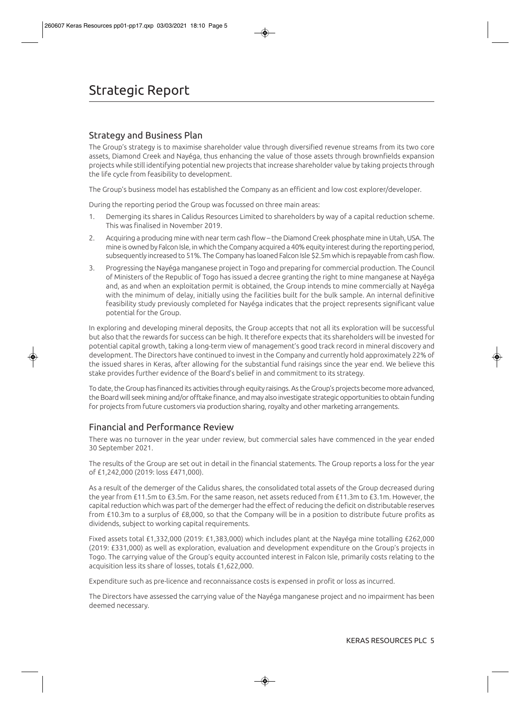## Strategy and Business Plan

The Group's strategy is to maximise shareholder value through diversified revenue streams from its two core assets, Diamond Creek and Nayéga, thus enhancing the value of those assets through brownfields expansion projects while still identifying potential new projects that increase shareholder value by taking projects through the life cycle from feasibility to development.

The Group's business model has established the Company as an efficient and low cost explorer/developer.

During the reporting period the Group was focussed on three main areas:

- 1. Demerging its shares in Calidus Resources Limited to shareholders by way of a capital reduction scheme. This was finalised in November 2019.
- 2. Acquiring a producing mine with near term cash flow the Diamond Creek phosphate mine in Utah, USA. The mine is owned by Falcon Isle, in which the Company acquired a 40% equity interest during the reporting period, subsequently increased to 51%. The Company has loaned Falcon Isle \$2.5m which is repayable from cash flow.
- 3. Progressing the Nayéga manganese project in Togo and preparing for commercial production. The Council of Ministers of the Republic of Togo has issued a decree granting the right to mine manganese at Nayéga and, as and when an exploitation permit is obtained, the Group intends to mine commercially at Nayéga with the minimum of delay, initially using the facilities built for the bulk sample. An internal definitive feasibility study previously completed for Nayéga indicates that the project represents significant value potential for the Group.

In exploring and developing mineral deposits, the Group accepts that not all its exploration will be successful but also that the rewards for success can be high. It therefore expects that its shareholders will be invested for potential capital growth, taking a long-term view of management's good track record in mineral discovery and development. The Directors have continued to invest in the Company and currently hold approximately 22% of the issued shares in Keras, after allowing for the substantial fund raisings since the year end. We believe this stake provides further evidence of the Board's belief in and commitment to its strategy.

To date, the Group has financed its activities through equity raisings. As the Group's projects become more advanced, the Board will seek mining and/or offtake finance, and may also investigate strategic opportunities to obtain funding for projects from future customers via production sharing, royalty and other marketing arrangements.

## Financial and Performance Review

There was no turnover in the year under review, but commercial sales have commenced in the year ended 30 September 2021.

The results of the Group are set out in detail in the financial statements. The Group reports a loss for the year of £1,242,000 (2019: loss £471,000).

As a result of the demerger of the Calidus shares, the consolidated total assets of the Group decreased during the year from £11.5m to £3.5m. For the same reason, net assets reduced from £11.3m to £3.1m. However, the capital reduction which was part of the demerger had the effect of reducing the deficit on distributable reserves from £10.3m to a surplus of £8,000, so that the Company will be in a position to distribute future profits as dividends, subject to working capital requirements.

Fixed assets total £1,332,000 (2019: £1,383,000) which includes plant at the Nayéga mine totalling £262,000 (2019: £331,000) as well as exploration, evaluation and development expenditure on the Group's projects in Togo. The carrying value of the Group's equity accounted interest in Falcon Isle, primarily costs relating to the acquisition less its share of losses, totals £1,622,000.

Expenditure such as pre-licence and reconnaissance costs is expensed in profit or loss as incurred.

The Directors have assessed the carrying value of the Nayéga manganese project and no impairment has been deemed necessary.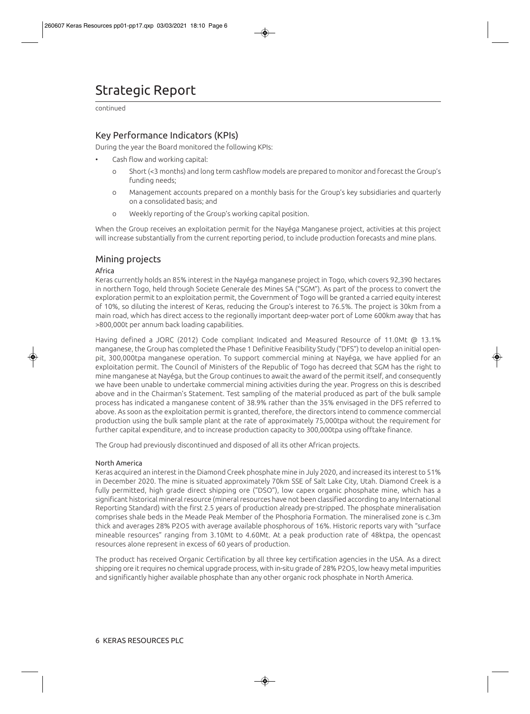# Strategic Report

continued

## Key Performance Indicators (KPIs)

During the year the Board monitored the following KPIs:

- Cash flow and working capital:
	- o Short (<3 months) and long term cashflow models are prepared to monitor and forecast the Group's funding needs;
	- o Management accounts prepared on a monthly basis for the Group's key subsidiaries and quarterly on a consolidated basis; and
	- o Weekly reporting of the Group's working capital position.

When the Group receives an exploitation permit for the Nayéga Manganese project, activities at this project will increase substantially from the current reporting period, to include production forecasts and mine plans.

## Mining projects

#### Africa

Keras currently holds an 85% interest in the Nayéga manganese project in Togo, which covers 92,390 hectares in northern Togo, held through Societe Generale des Mines SA ("SGM"). As part of the process to convert the exploration permit to an exploitation permit, the Government of Togo will be granted a carried equity interest of 10%, so diluting the interest of Keras, reducing the Group's interest to 76.5%. The project is 30km from a main road, which has direct access to the regionally important deep-water port of Lome 600km away that has >800,000t per annum back loading capabilities.

Having defined a JORC (2012) Code compliant Indicated and Measured Resource of 11.0Mt @ 13.1% manganese, the Group has completed the Phase 1 Definitive Feasibility Study ("DFS") to develop an initial openpit, 300,000tpa manganese operation. To support commercial mining at Nayéga, we have applied for an exploitation permit. The Council of Ministers of the Republic of Togo has decreed that SGM has the right to mine manganese at Nayéga, but the Group continues to await the award of the permit itself, and consequently we have been unable to undertake commercial mining activities during the year. Progress on this is described above and in the Chairman's Statement. Test sampling of the material produced as part of the bulk sample process has indicated a manganese content of 38.9% rather than the 35% envisaged in the DFS referred to above. As soon as the exploitation permit is granted, therefore, the directors intend to commence commercial production using the bulk sample plant at the rate of approximately 75,000tpa without the requirement for further capital expenditure, and to increase production capacity to 300,000tpa using offtake finance.

The Group had previously discontinued and disposed of all its other African projects.

#### North America

Keras acquired an interest in the Diamond Creek phosphate mine in July 2020, and increased its interest to 51% in December 2020. The mine is situated approximately 70km SSE of Salt Lake City, Utah. Diamond Creek is a fully permitted, high grade direct shipping ore ("DSO"), low capex organic phosphate mine, which has a significant historical mineral resource (mineral resources have not been classified according to any International Reporting Standard) with the first 2.5 years of production already pre-stripped. The phosphate mineralisation comprises shale beds in the Meade Peak Member of the Phosphoria Formation. The mineralised zone is c.3m thick and averages 28% P2O5 with average available phosphorous of 16%. Historic reports vary with "surface mineable resources" ranging from 3.10Mt to 4.60Mt. At a peak production rate of 48ktpa, the opencast resources alone represent in excess of 60 years of production.

The product has received Organic Certification by all three key certification agencies in the USA. As a direct shipping ore it requires no chemical upgrade process, with in-situ grade of 28% P2O5, low heavy metal impurities and significantly higher available phosphate than any other organic rock phosphate in North America.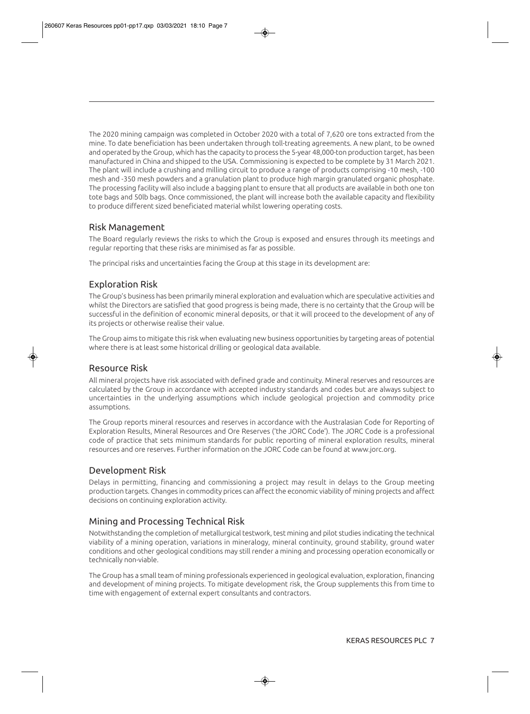The 2020 mining campaign was completed in October 2020 with a total of 7,620 ore tons extracted from the mine. To date beneficiation has been undertaken through toll-treating agreements. A new plant, to be owned and operated by the Group, which has the capacity to process the 5-year 48,000-ton production target, has been manufactured in China and shipped to the USA. Commissioning is expected to be complete by 31 March 2021. The plant will include a crushing and milling circuit to produce a range of products comprising -10 mesh, -100 mesh and -350 mesh powders and a granulation plant to produce high margin granulated organic phosphate. The processing facility will also include a bagging plant to ensure that all products are available in both one ton tote bags and 50lb bags. Once commissioned, the plant will increase both the available capacity and flexibility to produce different sized beneficiated material whilst lowering operating costs.

## Risk Management

The Board regularly reviews the risks to which the Group is exposed and ensures through its meetings and regular reporting that these risks are minimised as far as possible.

The principal risks and uncertainties facing the Group at this stage in its development are:

## Exploration Risk

The Group's business has been primarily mineral exploration and evaluation which are speculative activities and whilst the Directors are satisfied that good progress is being made, there is no certainty that the Group will be successful in the definition of economic mineral deposits, or that it will proceed to the development of any of its projects or otherwise realise their value.

The Group aims to mitigate this risk when evaluating new business opportunities by targeting areas of potential where there is at least some historical drilling or geological data available.

## Resource Risk

All mineral projects have risk associated with defined grade and continuity. Mineral reserves and resources are calculated by the Group in accordance with accepted industry standards and codes but are always subject to uncertainties in the underlying assumptions which include geological projection and commodity price assumptions.

The Group reports mineral resources and reserves in accordance with the Australasian Code for Reporting of Exploration Results, Mineral Resources and Ore Reserves ('the JORC Code'). The JORC Code is a professional code of practice that sets minimum standards for public reporting of mineral exploration results, mineral resources and ore reserves. Further information on the JORC Code can be found at www.jorc.org.

## Development Risk

Delays in permitting, financing and commissioning a project may result in delays to the Group meeting production targets. Changes in commodity prices can affect the economic viability of mining projects and affect decisions on continuing exploration activity.

## Mining and Processing Technical Risk

Notwithstanding the completion of metallurgical testwork, test mining and pilot studies indicating the technical viability of a mining operation, variations in mineralogy, mineral continuity, ground stability, ground water conditions and other geological conditions may still render a mining and processing operation economically or technically non-viable.

The Group has a small team of mining professionals experienced in geological evaluation, exploration, financing and development of mining projects. To mitigate development risk, the Group supplements this from time to time with engagement of external expert consultants and contractors.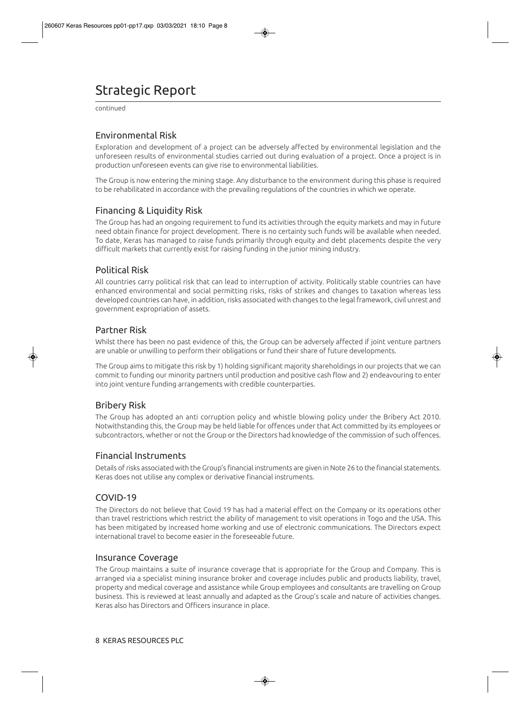# Strategic Report

continued

## Environmental Risk

Exploration and development of a project can be adversely affected by environmental legislation and the unforeseen results of environmental studies carried out during evaluation of a project. Once a project is in production unforeseen events can give rise to environmental liabilities.

The Group is now entering the mining stage. Any disturbance to the environment during this phase is required to be rehabilitated in accordance with the prevailing regulations of the countries in which we operate.

## Financing & Liquidity Risk

The Group has had an ongoing requirement to fund its activities through the equity markets and may in future need obtain finance for project development. There is no certainty such funds will be available when needed. To date, Keras has managed to raise funds primarily through equity and debt placements despite the very difficult markets that currently exist for raising funding in the junior mining industry.

## Political Risk

All countries carry political risk that can lead to interruption of activity. Politically stable countries can have enhanced environmental and social permitting risks, risks of strikes and changes to taxation whereas less developed countries can have, in addition, risks associated with changes to the legal framework, civil unrest and government expropriation of assets.

## Partner Risk

Whilst there has been no past evidence of this, the Group can be adversely affected if joint venture partners are unable or unwilling to perform their obligations or fund their share of future developments.

The Group aims to mitigate this risk by 1) holding significant majority shareholdings in our projects that we can commit to funding our minority partners until production and positive cash flow and 2) endeavouring to enter into joint venture funding arrangements with credible counterparties.

## Bribery Risk

The Group has adopted an anti corruption policy and whistle blowing policy under the Bribery Act 2010. Notwithstanding this, the Group may be held liable for offences under that Act committed by its employees or subcontractors, whether or not the Group or the Directors had knowledge of the commission of such offences.

## Financial Instruments

Details of risks associated with the Group's financial instruments are given in Note 26 to the financial statements. Keras does not utilise any complex or derivative financial instruments.

## COVID-19

The Directors do not believe that Covid 19 has had a material effect on the Company or its operations other than travel restrictions which restrict the ability of management to visit operations in Togo and the USA. This has been mitigated by increased home working and use of electronic communications. The Directors expect international travel to become easier in the foreseeable future.

## Insurance Coverage

The Group maintains a suite of insurance coverage that is appropriate for the Group and Company. This is arranged via a specialist mining insurance broker and coverage includes public and products liability, travel, property and medical coverage and assistance while Group employees and consultants are travelling on Group business. This is reviewed at least annually and adapted as the Group's scale and nature of activities changes. Keras also has Directors and Officers insurance in place.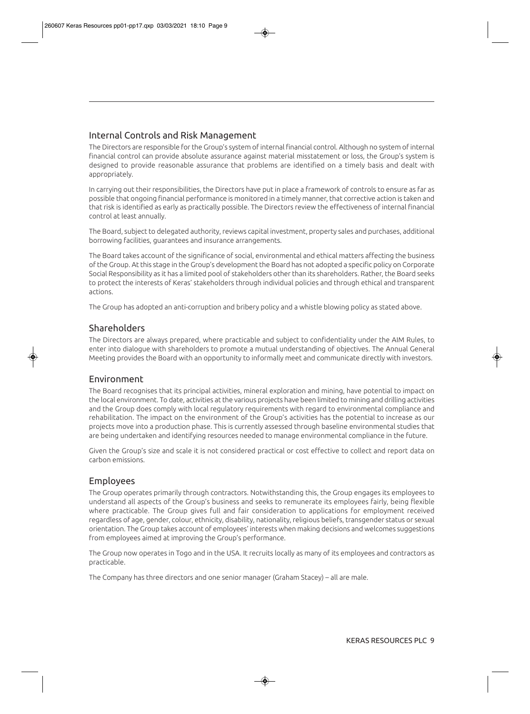## Internal Controls and Risk Management

The Directors are responsible for the Group's system of internal financial control. Although no system of internal financial control can provide absolute assurance against material misstatement or loss, the Group's system is designed to provide reasonable assurance that problems are identified on a timely basis and dealt with appropriately.

In carrying out their responsibilities, the Directors have put in place a framework of controls to ensure as far as possible that ongoing financial performance is monitored in a timely manner, that corrective action is taken and that risk is identified as early as practically possible. The Directors review the effectiveness of internal financial control at least annually.

The Board, subject to delegated authority, reviews capital investment, property sales and purchases, additional borrowing facilities, guarantees and insurance arrangements.

The Board takes account of the significance of social, environmental and ethical matters affecting the business of the Group. At this stage in the Group's development the Board has not adopted a specific policy on Corporate Social Responsibility as it has a limited pool of stakeholders other than its shareholders. Rather, the Board seeks to protect the interests of Keras' stakeholders through individual policies and through ethical and transparent actions.

The Group has adopted an anti-corruption and bribery policy and a whistle blowing policy as stated above.

## Shareholders

The Directors are always prepared, where practicable and subject to confidentiality under the AIM Rules, to enter into dialogue with shareholders to promote a mutual understanding of objectives. The Annual General Meeting provides the Board with an opportunity to informally meet and communicate directly with investors.

### Environment

The Board recognises that its principal activities, mineral exploration and mining, have potential to impact on the local environment. To date, activities at the various projects have been limited to mining and drilling activities and the Group does comply with local regulatory requirements with regard to environmental compliance and rehabilitation. The impact on the environment of the Group's activities has the potential to increase as our projects move into a production phase. This is currently assessed through baseline environmental studies that are being undertaken and identifying resources needed to manage environmental compliance in the future.

Given the Group's size and scale it is not considered practical or cost effective to collect and report data on carbon emissions.

## Employees

The Group operates primarily through contractors. Notwithstanding this, the Group engages its employees to understand all aspects of the Group's business and seeks to remunerate its employees fairly, being flexible where practicable. The Group gives full and fair consideration to applications for employment received regardless of age, gender, colour, ethnicity, disability, nationality, religious beliefs, transgender status or sexual orientation. The Group takes account of employees' interests when making decisions and welcomes suggestions from employees aimed at improving the Group's performance.

The Group now operates in Togo and in the USA. It recruits locally as many of its employees and contractors as practicable.

The Company has three directors and one senior manager (Graham Stacey) – all are male.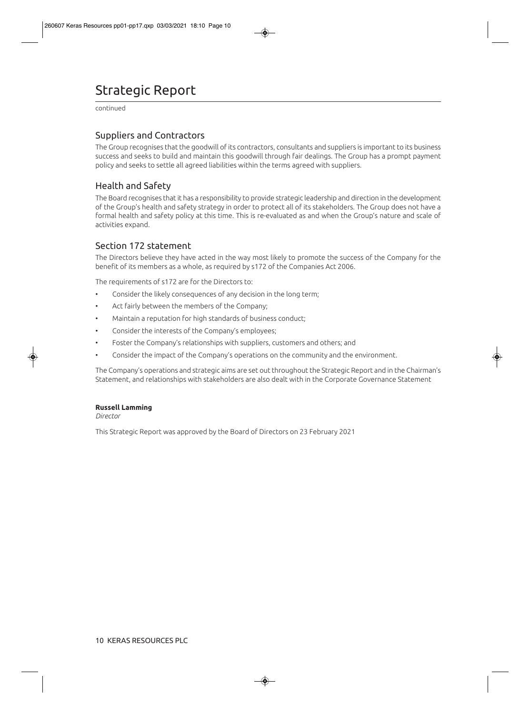# Strategic Report

continued

## Suppliers and Contractors

The Group recognises that the goodwill of its contractors, consultants and suppliers is important to its business success and seeks to build and maintain this goodwill through fair dealings. The Group has a prompt payment policy and seeks to settle all agreed liabilities within the terms agreed with suppliers.

## Health and Safety

The Board recognises that it has a responsibility to provide strategic leadership and direction in the development of the Group's health and safety strategy in order to protect all of its stakeholders. The Group does not have a formal health and safety policy at this time. This is re-evaluated as and when the Group's nature and scale of activities expand.

## Section 172 statement

The Directors believe they have acted in the way most likely to promote the success of the Company for the benefit of its members as a whole, as required by s172 of the Companies Act 2006.

The requirements of s172 are for the Directors to:

- Consider the likely consequences of any decision in the long term;
- Act fairly between the members of the Company;
- Maintain a reputation for high standards of business conduct;
- Consider the interests of the Company's employees;
- Foster the Company's relationships with suppliers, customers and others; and
- Consider the impact of the Company's operations on the community and the environment.

The Company's operations and strategic aims are set out throughout the Strategic Report and in the Chairman's Statement, and relationships with stakeholders are also dealt with in the Corporate Governance Statement

#### **Russell Lamming**

*Director* 

This Strategic Report was approved by the Board of Directors on 23 February 2021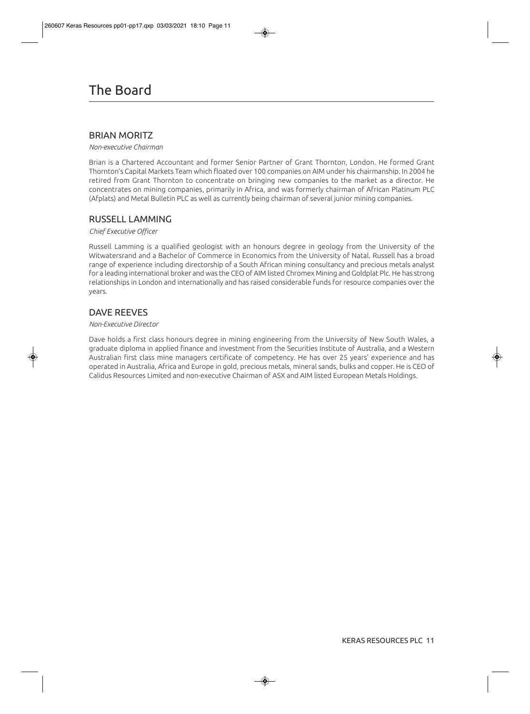## BRIAN MORITZ

*Non-executive Chairman* 

Brian is a Chartered Accountant and former Senior Partner of Grant Thornton, London. He formed Grant Thornton's Capital Markets Team which floated over 100 companies on AIM under his chairmanship. In 2004 he retired from Grant Thornton to concentrate on bringing new companies to the market as a director. He concentrates on mining companies, primarily in Africa, and was formerly chairman of African Platinum PLC (Afplats) and Metal Bulletin PLC as well as currently being chairman of several junior mining companies.

## RUSSELL LAMMING

#### *Chief Executive Officer*

Russell Lamming is a qualified geologist with an honours degree in geology from the University of the Witwatersrand and a Bachelor of Commerce in Economics from the University of Natal. Russell has a broad range of experience including directorship of a South African mining consultancy and precious metals analyst for a leading international broker and was the CEO of AIM listed Chromex Mining and Goldplat Plc. He has strong relationships in London and internationally and has raised considerable funds for resource companies over the years.

## DAVE REEVES

#### *Non-Executive Director*

Dave holds a first class honours degree in mining engineering from the University of New South Wales, a graduate diploma in applied finance and investment from the Securities Institute of Australia, and a Western Australian first class mine managers certificate of competency. He has over 25 years' experience and has operated in Australia, Africa and Europe in gold, precious metals, mineral sands, bulks and copper. He is CEO of Calidus Resources Limited and non-executive Chairman of ASX and AIM listed European Metals Holdings.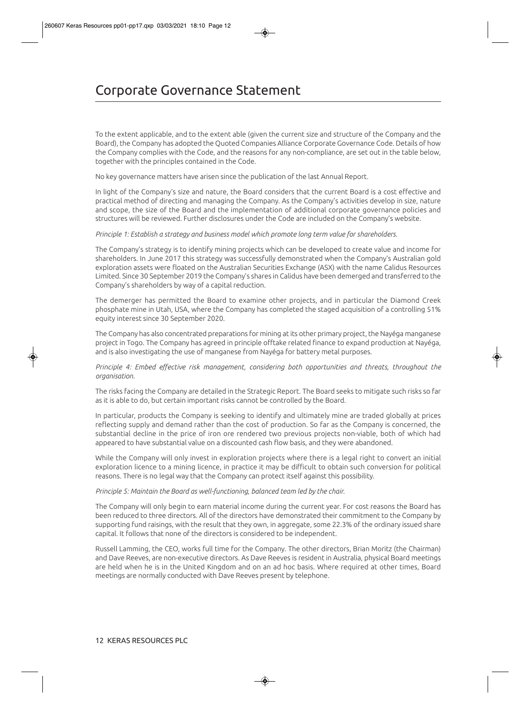To the extent applicable, and to the extent able (given the current size and structure of the Company and the Board), the Company has adopted the Quoted Companies Alliance Corporate Governance Code. Details of how the Company complies with the Code, and the reasons for any non-compliance, are set out in the table below, together with the principles contained in the Code.

No key governance matters have arisen since the publication of the last Annual Report.

In light of the Company's size and nature, the Board considers that the current Board is a cost effective and practical method of directing and managing the Company. As the Company's activities develop in size, nature and scope, the size of the Board and the implementation of additional corporate governance policies and structures will be reviewed. Further disclosures under the Code are included on the Company's website.

#### *Principle 1: Establish a strategy and business model which promote long term value for shareholders.*

The Company's strategy is to identify mining projects which can be developed to create value and income for shareholders. In June 2017 this strategy was successfully demonstrated when the Company's Australian gold exploration assets were floated on the Australian Securities Exchange (ASX) with the name Calidus Resources Limited. Since 30 September 2019 the Company's shares in Calidus have been demerged and transferred to the Company's shareholders by way of a capital reduction.

The demerger has permitted the Board to examine other projects, and in particular the Diamond Creek phosphate mine in Utah, USA, where the Company has completed the staged acquisition of a controlling 51% equity interest since 30 September 2020.

The Company has also concentrated preparations for mining at its other primary project, the Nayéga manganese project in Togo. The Company has agreed in principle offtake related finance to expand production at Nayéga, and is also investigating the use of manganese from Nayéga for battery metal purposes.

*Principle 4: Embed effective risk management, considering both opportunities and threats, throughout the organisation.* 

The risks facing the Company are detailed in the Strategic Report. The Board seeks to mitigate such risks so far as it is able to do, but certain important risks cannot be controlled by the Board.

In particular, products the Company is seeking to identify and ultimately mine are traded globally at prices reflecting supply and demand rather than the cost of production. So far as the Company is concerned, the substantial decline in the price of iron ore rendered two previous projects non-viable, both of which had appeared to have substantial value on a discounted cash flow basis, and they were abandoned.

While the Company will only invest in exploration projects where there is a legal right to convert an initial exploration licence to a mining licence, in practice it may be difficult to obtain such conversion for political reasons. There is no legal way that the Company can protect itself against this possibility.

#### *Principle 5: Maintain the Board as well-functioning, balanced team led by the chair.*

The Company will only begin to earn material income during the current year. For cost reasons the Board has been reduced to three directors. All of the directors have demonstrated their commitment to the Company by supporting fund raisings, with the result that they own, in aggregate, some 22.3% of the ordinary issued share capital. It follows that none of the directors is considered to be independent.

Russell Lamming, the CEO, works full time for the Company. The other directors, Brian Moritz (the Chairman) and Dave Reeves, are non-executive directors. As Dave Reeves is resident in Australia, physical Board meetings are held when he is in the United Kingdom and on an ad hoc basis. Where required at other times, Board meetings are normally conducted with Dave Reeves present by telephone.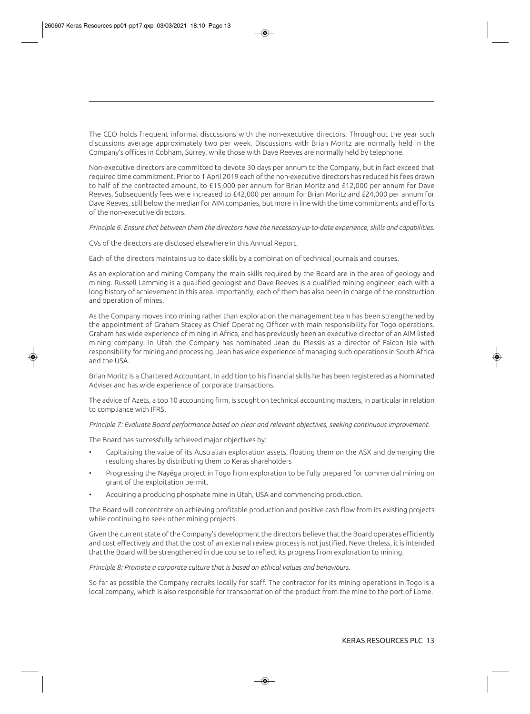The CEO holds frequent informal discussions with the non-executive directors. Throughout the year such discussions average approximately two per week. Discussions with Brian Moritz are normally held in the Company's offices in Cobham, Surrey, while those with Dave Reeves are normally held by telephone.

Non-executive directors are committed to devote 30 days per annum to the Company, but in fact exceed that required time commitment. Prior to 1 April 2019 each of the non-executive directors has reduced his fees drawn to half of the contracted amount, to £15,000 per annum for Brian Moritz and £12,000 per annum for Dave Reeves. Subsequently fees were increased to £42,000 per annum for Brian Moritz and £24,000 per annum for Dave Reeves, still below the median for AIM companies, but more in line with the time commitments and efforts of the non-executive directors.

*Principle 6: Ensure that between them the directors have the necessary up-to-date experience, skills and capabilities.* 

CVs of the directors are disclosed elsewhere in this Annual Report.

Each of the directors maintains up to date skills by a combination of technical journals and courses.

As an exploration and mining Company the main skills required by the Board are in the area of geology and mining. Russell Lamming is a qualified geologist and Dave Reeves is a qualified mining engineer, each with a long history of achievement in this area. Importantly, each of them has also been in charge of the construction and operation of mines.

As the Company moves into mining rather than exploration the management team has been strengthened by the appointment of Graham Stacey as Chief Operating Officer with main responsibility for Togo operations. Graham has wide experience of mining in Africa, and has previously been an executive director of an AIM listed mining company. In Utah the Company has nominated Jean du Plessis as a director of Falcon Isle with responsibility for mining and processing. Jean has wide experience of managing such operations in South Africa and the USA.

Brian Moritz is a Chartered Accountant. In addition to his financial skills he has been registered as a Nominated Adviser and has wide experience of corporate transactions.

The advice of Azets, a top 10 accounting firm, is sought on technical accounting matters, in particular in relation to compliance with IFRS.

#### *Principle 7: Evaluate Board performance based on clear and relevant objectives, seeking continuous improvement.*

The Board has successfully achieved major objectives by:

- Capitalising the value of its Australian exploration assets, floating them on the ASX and demerging the resulting shares by distributing them to Keras shareholders
- Progressing the Nayéga project in Togo from exploration to be fully prepared for commercial mining on grant of the exploitation permit.
- Acquiring a producing phosphate mine in Utah, USA and commencing production.

The Board will concentrate on achieving profitable production and positive cash flow from its existing projects while continuing to seek other mining projects.

Given the current state of the Company's development the directors believe that the Board operates efficiently and cost effectively and that the cost of an external review process is not justified. Nevertheless, it is intended that the Board will be strengthened in due course to reflect its progress from exploration to mining.

#### *Principle 8: Promote a corporate culture that is based on ethical values and behaviours.*

So far as possible the Company recruits locally for staff. The contractor for its mining operations in Togo is a local company, which is also responsible for transportation of the product from the mine to the port of Lome.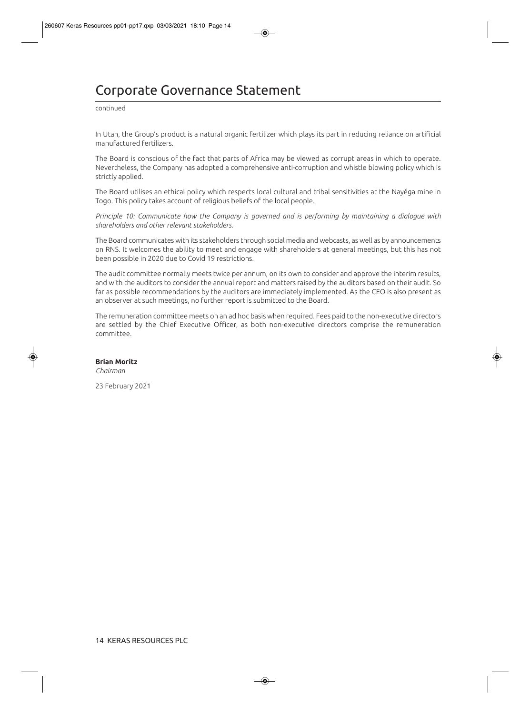# Corporate Governance Statement

continued

In Utah, the Group's product is a natural organic fertilizer which plays its part in reducing reliance on artificial manufactured fertilizers.

The Board is conscious of the fact that parts of Africa may be viewed as corrupt areas in which to operate. Nevertheless, the Company has adopted a comprehensive anti-corruption and whistle blowing policy which is strictly applied.

The Board utilises an ethical policy which respects local cultural and tribal sensitivities at the Nayéga mine in Togo. This policy takes account of religious beliefs of the local people.

*Principle 10: Communicate how the Company is governed and is performing by maintaining a dialogue with shareholders and other relevant stakeholders.* 

The Board communicates with its stakeholders through social media and webcasts, as well as by announcements on RNS. It welcomes the ability to meet and engage with shareholders at general meetings, but this has not been possible in 2020 due to Covid 19 restrictions.

The audit committee normally meets twice per annum, on its own to consider and approve the interim results, and with the auditors to consider the annual report and matters raised by the auditors based on their audit. So far as possible recommendations by the auditors are immediately implemented. As the CEO is also present as an observer at such meetings, no further report is submitted to the Board.

The remuneration committee meets on an ad hoc basis when required. Fees paid to the non-executive directors are settled by the Chief Executive Officer, as both non-executive directors comprise the remuneration committee.

#### **Brian Moritz**

*Chairman* 

23 February 2021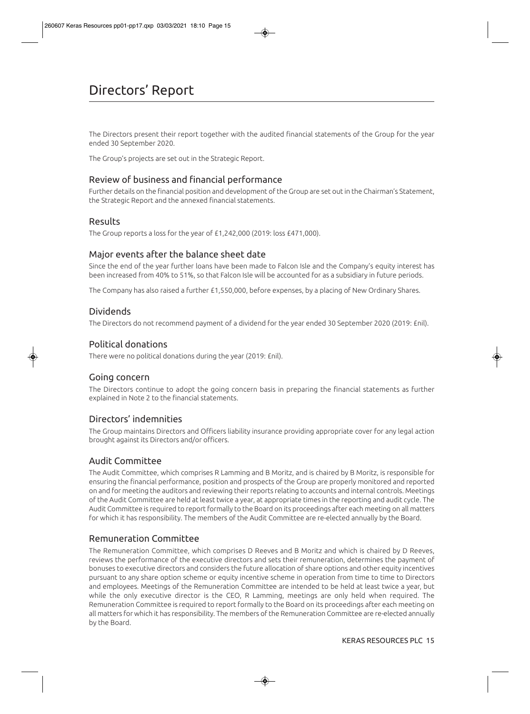The Directors present their report together with the audited financial statements of the Group for the year ended 30 September 2020.

The Group's projects are set out in the Strategic Report.

## Review of business and financial performance

Further details on the financial position and development of the Group are set out in the Chairman's Statement, the Strategic Report and the annexed financial statements.

## Results

The Group reports a loss for the year of £1,242,000 (2019: loss £471,000).

## Major events after the balance sheet date

Since the end of the year further loans have been made to Falcon Isle and the Company's equity interest has been increased from 40% to 51%, so that Falcon Isle will be accounted for as a subsidiary in future periods.

The Company has also raised a further £1,550,000, before expenses, by a placing of New Ordinary Shares.

## Dividends

The Directors do not recommend payment of a dividend for the year ended 30 September 2020 (2019: £nil).

## Political donations

There were no political donations during the year (2019: £nil).

## Going concern

The Directors continue to adopt the going concern basis in preparing the financial statements as further explained in Note 2 to the financial statements.

## Directors' indemnities

The Group maintains Directors and Officers liability insurance providing appropriate cover for any legal action brought against its Directors and/or officers.

## Audit Committee

The Audit Committee, which comprises R Lamming and B Moritz, and is chaired by B Moritz, is responsible for ensuring the financial performance, position and prospects of the Group are properly monitored and reported on and for meeting the auditors and reviewing their reports relating to accounts and internal controls. Meetings of the Audit Committee are held at least twice a year, at appropriate times in the reporting and audit cycle. The Audit Committee is required to report formally to the Board on its proceedings after each meeting on all matters for which it has responsibility. The members of the Audit Committee are re-elected annually by the Board.

## Remuneration Committee

The Remuneration Committee, which comprises D Reeves and B Moritz and which is chaired by D Reeves, reviews the performance of the executive directors and sets their remuneration, determines the payment of bonuses to executive directors and considers the future allocation of share options and other equity incentives pursuant to any share option scheme or equity incentive scheme in operation from time to time to Directors and employees. Meetings of the Remuneration Committee are intended to be held at least twice a year, but while the only executive director is the CEO, R Lamming, meetings are only held when required. The Remuneration Committee is required to report formally to the Board on its proceedings after each meeting on all matters for which it has responsibility. The members of the Remuneration Committee are re-elected annually by the Board.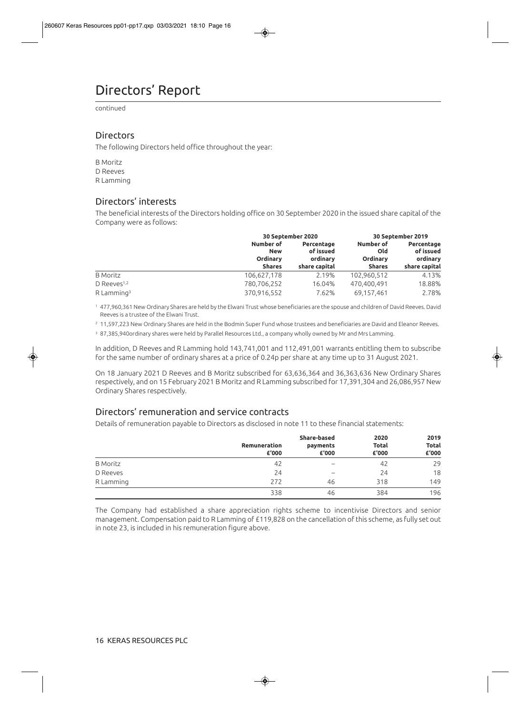# Directors' Report

continued

## **Directors**

The following Directors held office throughout the year:

B Moritz D Reeves R Lamming

## Directors' interests

The beneficial interests of the Directors holding office on 30 September 2020 in the issued share capital of the Company were as follows:

|                          |                                                             | 30 September 2020                                    |                                                      | 30 September 2019                                    |
|--------------------------|-------------------------------------------------------------|------------------------------------------------------|------------------------------------------------------|------------------------------------------------------|
|                          | Number of<br><b>New</b><br><b>Ordinary</b><br><b>Shares</b> | Percentage<br>of issued<br>ordinary<br>share capital | Number of<br>Old<br><b>Ordinary</b><br><b>Shares</b> | Percentage<br>of issued<br>ordinary<br>share capital |
| <b>B</b> Moritz          | 106,627,178                                                 | 2.19%                                                | 102,960,512                                          | 4.13%                                                |
| D Reeves <sup>1,2</sup>  | 780,706,252                                                 | 16.04%                                               | 470.400.491                                          | 18.88%                                               |
| $R$ Lamming <sup>3</sup> | 370,916,552                                                 | 7.62%                                                | 69,157,461                                           | 2.78%                                                |

1 477,960,361 New Ordinary Shares are held by the Elwani Trust whose beneficiaries are the spouse and children of David Reeves. David Reeves is a trustee of the Elwani Trust.

<sup>2</sup> 11,597,223 New Ordinary Shares are held in the Bodmin Super Fund whose trustees and beneficiaries are David and Eleanor Reeves.

3 87,385,940ordinary shares were held by Parallel Resources Ltd., a company wholly owned by Mr and Mrs Lamming.

In addition, D Reeves and R Lamming hold 143,741,001 and 112,491,001 warrants entitling them to subscribe for the same number of ordinary shares at a price of 0.24p per share at any time up to 31 August 2021.

On 18 January 2021 D Reeves and B Moritz subscribed for 63,636,364 and 36,363,636 New Ordinary Shares respectively, and on 15 February 2021 B Moritz and R Lamming subscribed for 17,391,304 and 26,086,957 New Ordinary Shares respectively.

## Directors' remuneration and service contracts

Details of remuneration payable to Directors as disclosed in note 11 to these financial statements:

|                 | Remuneration | <b>Share-based</b><br>payments | 2020<br><b>Total</b> | 2019<br><b>Total</b> |
|-----------------|--------------|--------------------------------|----------------------|----------------------|
|                 | £'000        | £'000                          | £'000                | £'000                |
| <b>B</b> Moritz | 42           | $\overline{\phantom{a}}$       | 42                   | 29                   |
| D Reeves        | 24           | -                              | 24                   | 18                   |
| R Lamming       | 272          | 46                             | 318                  | 149                  |
|                 | 338          | 46                             | 384                  | 196                  |

The Company had established a share appreciation rights scheme to incentivise Directors and senior management. Compensation paid to R Lamming of £119,828 on the cancellation of this scheme, as fully set out in note 23, is included in his remuneration figure above.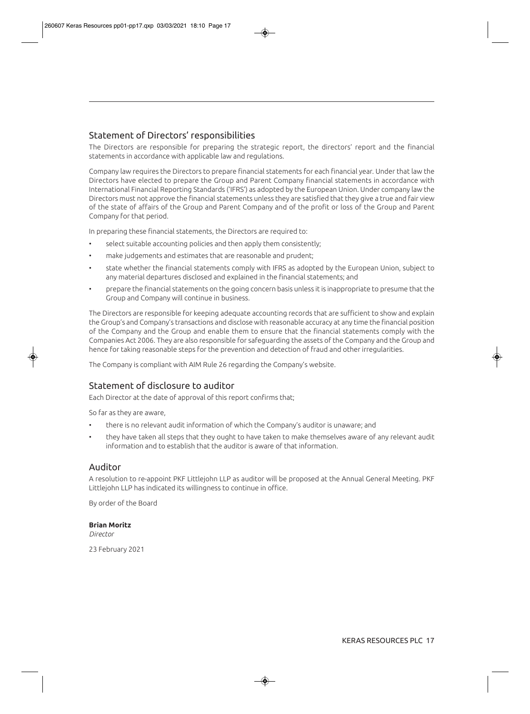## Statement of Directors' responsibilities

The Directors are responsible for preparing the strategic report, the directors' report and the financial statements in accordance with applicable law and regulations.

Company law requires the Directors to prepare financial statements for each financial year. Under that law the Directors have elected to prepare the Group and Parent Company financial statements in accordance with International Financial Reporting Standards ('IFRS') as adopted by the European Union. Under company law the Directors must not approve the financial statements unless they are satisfied that they give a true and fair view of the state of affairs of the Group and Parent Company and of the profit or loss of the Group and Parent Company for that period.

In preparing these financial statements, the Directors are required to:

- select suitable accounting policies and then apply them consistently;
- make judgements and estimates that are reasonable and prudent;
- state whether the financial statements comply with IFRS as adopted by the European Union, subject to any material departures disclosed and explained in the financial statements; and
- prepare the financial statements on the going concern basis unless it is inappropriate to presume that the Group and Company will continue in business.

The Directors are responsible for keeping adequate accounting records that are sufficient to show and explain the Group's and Company's transactions and disclose with reasonable accuracy at any time the financial position of the Company and the Group and enable them to ensure that the financial statements comply with the Companies Act 2006. They are also responsible for safeguarding the assets of the Company and the Group and hence for taking reasonable steps for the prevention and detection of fraud and other irregularities.

The Company is compliant with AIM Rule 26 regarding the Company's website.

## Statement of disclosure to auditor

Each Director at the date of approval of this report confirms that;

So far as they are aware,

- there is no relevant audit information of which the Company's auditor is unaware; and
- they have taken all steps that they ought to have taken to make themselves aware of any relevant audit information and to establish that the auditor is aware of that information.

### Auditor

A resolution to re-appoint PKF Littlejohn LLP as auditor will be proposed at the Annual General Meeting. PKF Littlejohn LLP has indicated its willingness to continue in office.

By order of the Board

#### **Brian Moritz**

*Director*

23 February 2021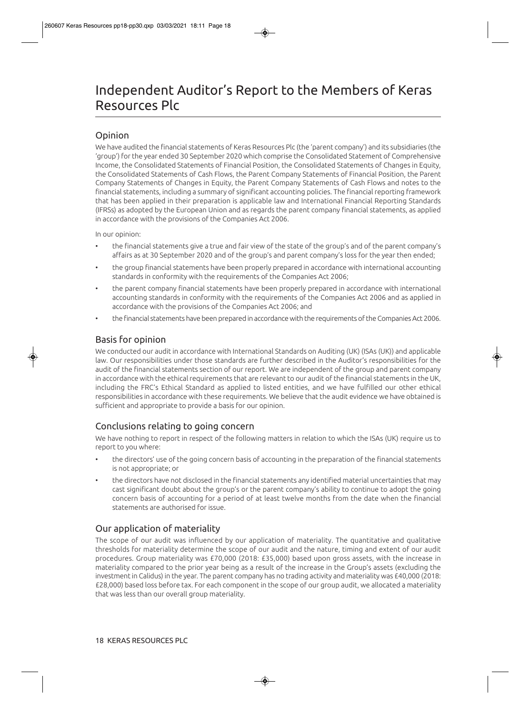# Independent Auditor's Report to the Members of Keras Resources Plc

# Opinion

We have audited the financial statements of Keras Resources Plc (the 'parent company') and its subsidiaries (the 'group') for the year ended 30 September 2020 which comprise the Consolidated Statement of Comprehensive Income, the Consolidated Statements of Financial Position, the Consolidated Statements of Changes in Equity, the Consolidated Statements of Cash Flows, the Parent Company Statements of Financial Position, the Parent Company Statements of Changes in Equity, the Parent Company Statements of Cash Flows and notes to the financial statements, including a summary of significant accounting policies. The financial reporting framework that has been applied in their preparation is applicable law and International Financial Reporting Standards (IFRSs) as adopted by the European Union and as regards the parent company financial statements, as applied in accordance with the provisions of the Companies Act 2006.

In our opinion:

- the financial statements give a true and fair view of the state of the group's and of the parent company's affairs as at 30 September 2020 and of the group's and parent company's loss for the year then ended;
- the group financial statements have been properly prepared in accordance with international accounting standards in conformity with the requirements of the Companies Act 2006;
- the parent company financial statements have been properly prepared in accordance with international accounting standards in conformity with the requirements of the Companies Act 2006 and as applied in accordance with the provisions of the Companies Act 2006; and
- the financial statements have been prepared in accordance with the requirements of the Companies Act 2006.

# Basis for opinion

We conducted our audit in accordance with International Standards on Auditing (UK) (ISAs (UK)) and applicable law. Our responsibilities under those standards are further described in the Auditor's responsibilities for the audit of the financial statements section of our report. We are independent of the group and parent company in accordance with the ethical requirements that are relevant to our audit of the financial statements in the UK, including the FRC's Ethical Standard as applied to listed entities, and we have fulfilled our other ethical responsibilities in accordance with these requirements. We believe that the audit evidence we have obtained is sufficient and appropriate to provide a basis for our opinion.

# Conclusions relating to going concern

We have nothing to report in respect of the following matters in relation to which the ISAs (UK) require us to report to you where:

- the directors' use of the going concern basis of accounting in the preparation of the financial statements is not appropriate; or
- the directors have not disclosed in the financial statements any identified material uncertainties that may cast significant doubt about the group's or the parent company's ability to continue to adopt the going concern basis of accounting for a period of at least twelve months from the date when the financial statements are authorised for issue.

# Our application of materiality

The scope of our audit was influenced by our application of materiality. The quantitative and qualitative thresholds for materiality determine the scope of our audit and the nature, timing and extent of our audit procedures. Group materiality was £70,000 (2018: £35,000) based upon gross assets, with the increase in materiality compared to the prior year being as a result of the increase in the Group's assets (excluding the investment in Calidus) in the year. The parent company has no trading activity and materiality was £40,000 (2018: £28,000) based loss before tax. For each component in the scope of our group audit, we allocated a materiality that was less than our overall group materiality.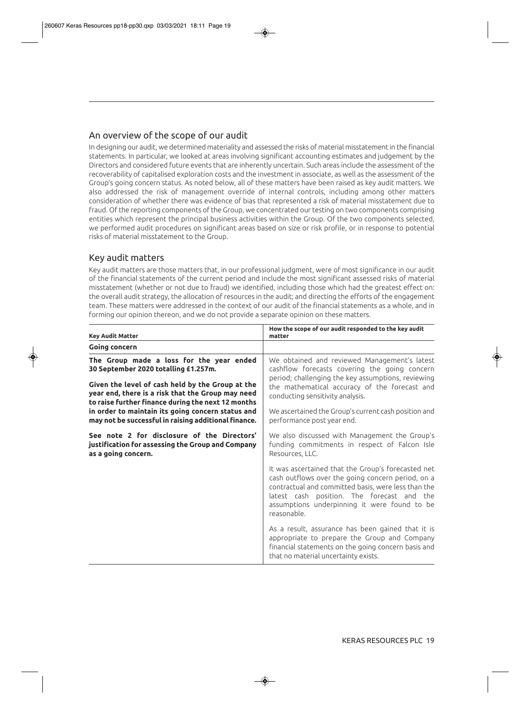## An overview of the scope of our audit

In designing our audit, we determined materiality and assessed the risks of material misstatement in the financial statements. In particular, we looked at areas involving significant accounting estimates and judgement by the Directors and considered future events that are inherently uncertain. Such areas include the assessment of the recoverability of capitalised exploration costs and the investment in associate, as well as the assessment of the Group's going concern status. As noted below, all of these matters have been raised as key audit matters. We also addressed the risk of management override of internal controls, including among other matters consideration of whether there was evidence of bias that represented a risk of material misstatement due to fraud. Of the reporting components of the Group, we concentrated our testing on two components comprising entities which represent the principal business activities within the Group. Of the two components selected, we performed audit procedures on significant areas based on size or risk profile, or in response to potential risks of material misstatement to the Group.

## Key audit matters

Key audit matters are those matters that, in our professional judgment, were of most significance in our audit of the financial statements of the current period and include the most significant assessed risks of material misstatement (whether or not due to fraud) we identified, including those which had the greatest effect on: the overall audit strategy, the allocation of resources in the audit; and directing the efforts of the engagement team. These matters were addressed in the context of our audit of the financial statements as a whole, and in forming our opinion thereon, and we do not provide a separate opinion on these matters.

| <b>Key Audit Matter</b>                                                                                                                                         | How the scope of our audit responded to the key audit<br>matter                                                                                                                                                                                                             |
|-----------------------------------------------------------------------------------------------------------------------------------------------------------------|-----------------------------------------------------------------------------------------------------------------------------------------------------------------------------------------------------------------------------------------------------------------------------|
| Going concern                                                                                                                                                   |                                                                                                                                                                                                                                                                             |
| The Group made a loss for the year ended<br>30 September 2020 totalling £1.257m.<br>Given the level of cash held by the Group at the                            | We obtained and reviewed Management's latest<br>cashflow forecasts covering the going concern<br>period; challenging the key assumptions, reviewing<br>the mathematical accuracy of the forecast and                                                                        |
| year end, there is a risk that the Group may need                                                                                                               | conducting sensitivity analysis.                                                                                                                                                                                                                                            |
| to raise further finance during the next 12 months<br>in order to maintain its going concern status and<br>may not be successful in raising additional finance. | We ascertained the Group's current cash position and<br>performance post year end.                                                                                                                                                                                          |
| See note 2 for disclosure of the Directors'<br>justification for assessing the Group and Company<br>as a going concern.                                         | We also discussed with Management the Group's<br>funding commitments in respect of Falcon Isle<br>Resources, LLC.                                                                                                                                                           |
|                                                                                                                                                                 | It was ascertained that the Group's forecasted net<br>cash outflows over the going concern period, on a<br>contractual and committed basis, were less than the<br>latest cash position. The forecast and the<br>assumptions underpinning it were found to be<br>reasonable. |
|                                                                                                                                                                 | As a result, assurance has been gained that it is<br>appropriate to prepare the Group and Company<br>financial statements on the going concern basis and<br>that no material uncertainty exists.                                                                            |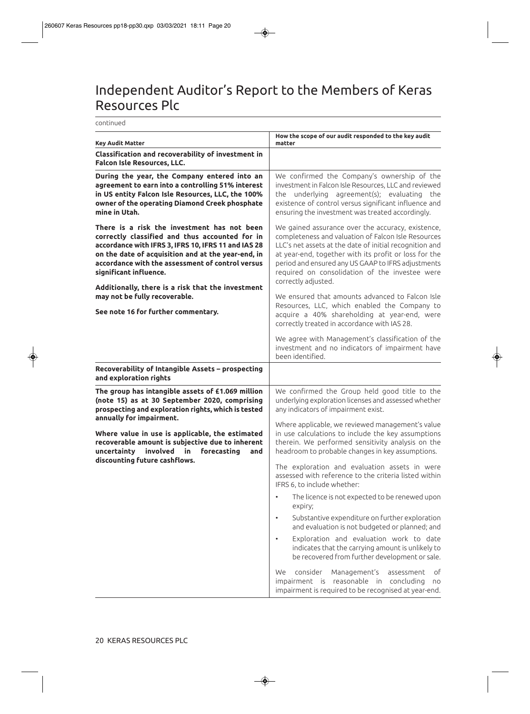# Independent Auditor's Report to the Members of Keras Resources Plc

continued

| <b>Key Audit Matter</b>                                                                                                                                                                                                                                                                  | How the scope of our audit responded to the key audit<br>matter                                                                                                                                                                                                                                                                                             |
|------------------------------------------------------------------------------------------------------------------------------------------------------------------------------------------------------------------------------------------------------------------------------------------|-------------------------------------------------------------------------------------------------------------------------------------------------------------------------------------------------------------------------------------------------------------------------------------------------------------------------------------------------------------|
| Classification and recoverability of investment in<br><b>Falcon Isle Resources, LLC.</b>                                                                                                                                                                                                 |                                                                                                                                                                                                                                                                                                                                                             |
| During the year, the Company entered into an<br>agreement to earn into a controlling 51% interest<br>in US entity Falcon Isle Resources, LLC, the 100%<br>owner of the operating Diamond Creek phosphate<br>mine in Utah.                                                                | We confirmed the Company's ownership of the<br>investment in Falcon Isle Resources, LLC and reviewed<br>the underlying agreement(s); evaluating<br>the<br>existence of control versus significant influence and<br>ensuring the investment was treated accordingly.                                                                                         |
| There is a risk the investment has not been<br>correctly classified and thus accounted for in<br>accordance with IFRS 3, IFRS 10, IFRS 11 and IAS 28<br>on the date of acquisition and at the year-end, in<br>accordance with the assessment of control versus<br>significant influence. | We gained assurance over the accuracy, existence,<br>completeness and valuation of Falcon Isle Resources<br>LLC's net assets at the date of initial recognition and<br>at year-end, together with its profit or loss for the<br>period and ensured any US GAAP to IFRS adjustments<br>required on consolidation of the investee were<br>correctly adjusted. |
| Additionally, there is a risk that the investment<br>may not be fully recoverable.<br>See note 16 for further commentary.                                                                                                                                                                | We ensured that amounts advanced to Falcon Isle<br>Resources, LLC, which enabled the Company to<br>acquire a 40% shareholding at year-end, were<br>correctly treated in accordance with IAS 28.                                                                                                                                                             |
|                                                                                                                                                                                                                                                                                          | We agree with Management's classification of the<br>investment and no indicators of impairment have<br>been identified.                                                                                                                                                                                                                                     |
| Recoverability of Intangible Assets - prospecting<br>and exploration rights                                                                                                                                                                                                              |                                                                                                                                                                                                                                                                                                                                                             |
| The group has intangible assets of £1.069 million<br>(note 15) as at 30 September 2020, comprising<br>prospecting and exploration rights, which is tested<br>annually for impairment.                                                                                                    | We confirmed the Group held good title to the<br>underlying exploration licenses and assessed whether<br>any indicators of impairment exist.                                                                                                                                                                                                                |
| Where value in use is applicable, the estimated<br>recoverable amount is subjective due to inherent<br>involved<br>uncertainty<br>forecasting<br>in<br>and                                                                                                                               | Where applicable, we reviewed management's value<br>in use calculations to include the key assumptions<br>therein. We performed sensitivity analysis on the<br>headroom to probable changes in key assumptions.                                                                                                                                             |
| discounting future cashflows.                                                                                                                                                                                                                                                            | The exploration and evaluation assets in were<br>assessed with reference to the criteria listed within<br>IFRS 6, to include whether:                                                                                                                                                                                                                       |
|                                                                                                                                                                                                                                                                                          | The licence is not expected to be renewed upon<br>expiry;                                                                                                                                                                                                                                                                                                   |
|                                                                                                                                                                                                                                                                                          | Substantive expenditure on further exploration<br>and evaluation is not budgeted or planned; and                                                                                                                                                                                                                                                            |
|                                                                                                                                                                                                                                                                                          | Exploration and evaluation work to date<br>indicates that the carrying amount is unlikely to<br>be recovered from further development or sale.                                                                                                                                                                                                              |
|                                                                                                                                                                                                                                                                                          | consider<br>Management's<br>оf<br>We<br>assessment<br>impairment is reasonable in concluding<br>no<br>impairment is required to be recognised at year-end.                                                                                                                                                                                                  |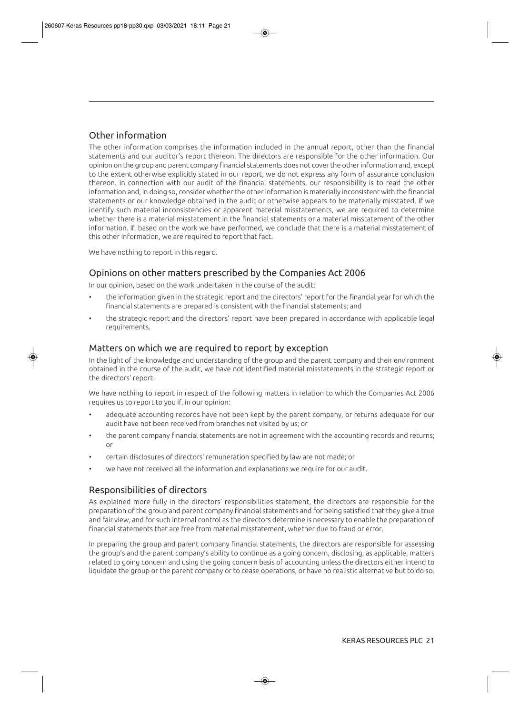# Other information

The other information comprises the information included in the annual report, other than the financial statements and our auditor's report thereon. The directors are responsible for the other information. Our opinion on the group and parent company financial statements does not cover the other information and, except to the extent otherwise explicitly stated in our report, we do not express any form of assurance conclusion thereon. In connection with our audit of the financial statements, our responsibility is to read the other information and, in doing so, consider whether the other information is materially inconsistent with the financial statements or our knowledge obtained in the audit or otherwise appears to be materially misstated. If we identify such material inconsistencies or apparent material misstatements, we are required to determine whether there is a material misstatement in the financial statements or a material misstatement of the other information. If, based on the work we have performed, we conclude that there is a material misstatement of this other information, we are required to report that fact.

We have nothing to report in this regard.

## Opinions on other matters prescribed by the Companies Act 2006

In our opinion, based on the work undertaken in the course of the audit:

- the information given in the strategic report and the directors' report for the financial year for which the financial statements are prepared is consistent with the financial statements; and
- the strategic report and the directors' report have been prepared in accordance with applicable legal requirements.

## Matters on which we are required to report by exception

In the light of the knowledge and understanding of the group and the parent company and their environment obtained in the course of the audit, we have not identified material misstatements in the strategic report or the directors' report.

We have nothing to report in respect of the following matters in relation to which the Companies Act 2006 requires us to report to you if, in our opinion:

- adequate accounting records have not been kept by the parent company, or returns adequate for our audit have not been received from branches not visited by us; or
- the parent company financial statements are not in agreement with the accounting records and returns; or
- certain disclosures of directors' remuneration specified by law are not made; or
- we have not received all the information and explanations we require for our audit.

## Responsibilities of directors

As explained more fully in the directors' responsibilities statement, the directors are responsible for the preparation of the group and parent company financial statements and for being satisfied that they give a true and fair view, and for such internal control as the directors determine is necessary to enable the preparation of financial statements that are free from material misstatement, whether due to fraud or error.

In preparing the group and parent company financial statements, the directors are responsible for assessing the group's and the parent company's ability to continue as a going concern, disclosing, as applicable, matters related to going concern and using the going concern basis of accounting unless the directors either intend to liquidate the group or the parent company or to cease operations, or have no realistic alternative but to do so.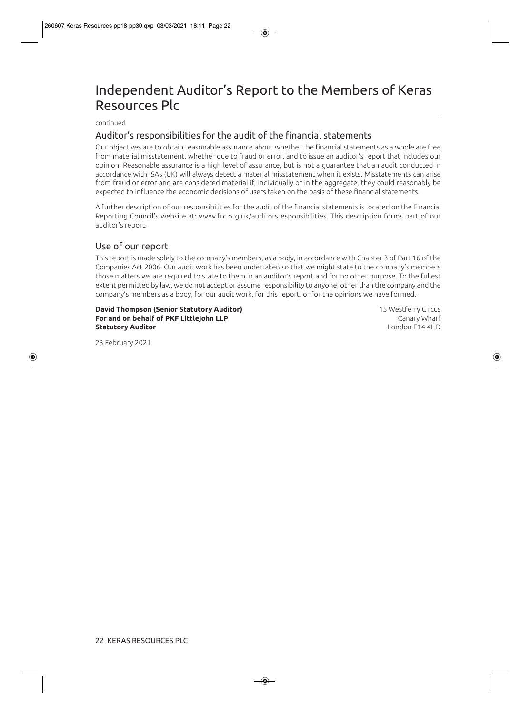# Independent Auditor's Report to the Members of Keras Resources Plc

continued

## Auditor's responsibilities for the audit of the financial statements

Our objectives are to obtain reasonable assurance about whether the financial statements as a whole are free from material misstatement, whether due to fraud or error, and to issue an auditor's report that includes our opinion. Reasonable assurance is a high level of assurance, but is not a guarantee that an audit conducted in accordance with ISAs (UK) will always detect a material misstatement when it exists. Misstatements can arise from fraud or error and are considered material if, individually or in the aggregate, they could reasonably be expected to influence the economic decisions of users taken on the basis of these financial statements.

A further description of our responsibilities for the audit of the financial statements is located on the Financial Reporting Council's website at: www.frc.org.uk/auditorsresponsibilities. This description forms part of our auditor's report.

## Use of our report

This report is made solely to the company's members, as a body, in accordance with Chapter 3 of Part 16 of the Companies Act 2006. Our audit work has been undertaken so that we might state to the company's members those matters we are required to state to them in an auditor's report and for no other purpose. To the fullest extent permitted by law, we do not accept or assume responsibility to anyone, other than the company and the company's members as a body, for our audit work, for this report, or for the opinions we have formed.

#### **David Thompson (Senior Statutory Auditor)** 15 Westferry Circus **For and on behalf of PKF Littlejohn LLP** and the state of the canary Wharf **Statutory Auditor** London E14 4HD

23 February 2021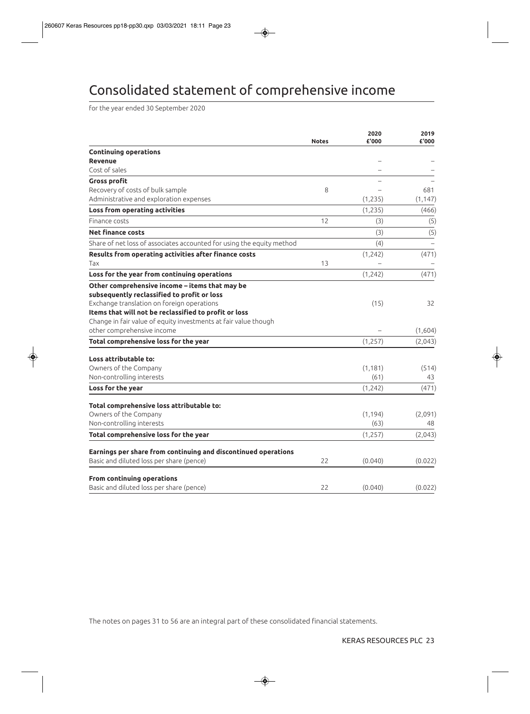# Consolidated statement of comprehensive income

for the year ended 30 September 2020

|                                                                       | <b>Notes</b> | 2020<br>£'000 | 2019<br>£'000 |
|-----------------------------------------------------------------------|--------------|---------------|---------------|
| <b>Continuing operations</b>                                          |              |               |               |
| <b>Revenue</b>                                                        |              |               |               |
| Cost of sales                                                         |              |               |               |
| <b>Gross profit</b>                                                   |              |               |               |
| Recovery of costs of bulk sample                                      | 8            |               | 681           |
| Administrative and exploration expenses                               |              | (1, 235)      | (1, 147)      |
| Loss from operating activities                                        |              | (1, 235)      | (466)         |
| Finance costs                                                         | 12           | (3)           | (5)           |
| <b>Net finance costs</b>                                              |              | (3)           | (5)           |
| Share of net loss of associates accounted for using the equity method |              | (4)           |               |
| Results from operating activities after finance costs                 |              | (1, 242)      | (471)         |
| Tax                                                                   | 13           |               |               |
| Loss for the year from continuing operations                          |              | (1, 242)      | (471)         |
| Other comprehensive income - items that may be                        |              |               |               |
| subsequently reclassified to profit or loss                           |              |               |               |
| Exchange translation on foreign operations                            |              | (15)          | 32            |
| Items that will not be reclassified to profit or loss                 |              |               |               |
| Change in fair value of equity investments at fair value though       |              |               |               |
| other comprehensive income                                            |              |               | (1,604)       |
| Total comprehensive loss for the year                                 |              | (1, 257)      | (2,043)       |
| Loss attributable to:                                                 |              |               |               |
| Owners of the Company                                                 |              | (1, 181)      | (514)         |
| Non-controlling interests                                             |              | (61)          | 43            |
| Loss for the year                                                     |              | (1, 242)      | (471)         |
| Total comprehensive loss attributable to:                             |              |               |               |
| Owners of the Company                                                 |              | (1, 194)      | (2,091)       |
| Non-controlling interests                                             |              | (63)          | 48            |
| Total comprehensive loss for the year                                 |              | (1,257)       | (2,043)       |
| Earnings per share from continuing and discontinued operations        |              |               |               |
| Basic and diluted loss per share (pence)                              | 22           | (0.040)       | (0.022)       |
| From continuing operations                                            |              |               |               |
| Basic and diluted loss per share (pence)                              | 22           | (0.040)       | (0.022)       |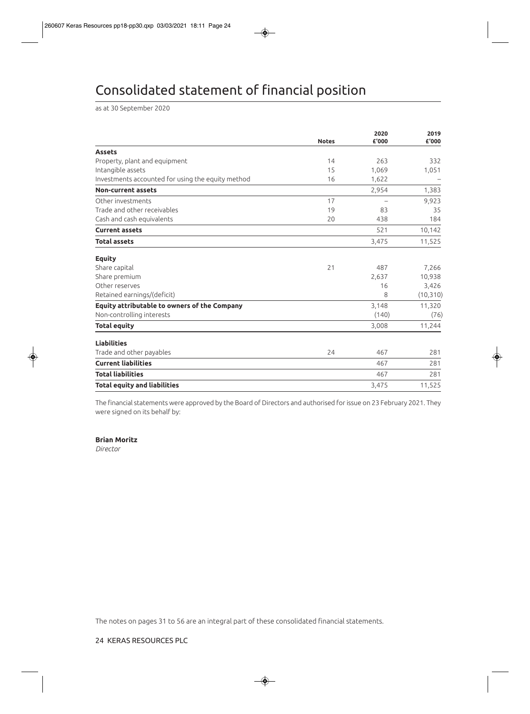# Consolidated statement of financial position

as at 30 September 2020

|                                                   | <b>Notes</b> | 2020<br>£'000 | 2019<br>£'000 |
|---------------------------------------------------|--------------|---------------|---------------|
|                                                   |              |               |               |
| <b>Assets</b>                                     |              |               |               |
| Property, plant and equipment                     | 14           | 263           | 332           |
| Intangible assets                                 | 15           | 1,069         | 1,051         |
| Investments accounted for using the equity method | 16           | 1,622         |               |
| <b>Non-current assets</b>                         |              | 2,954         | 1,383         |
| Other investments                                 | 17           |               | 9,923         |
| Trade and other receivables                       | 19           | 83            | 35            |
| Cash and cash equivalents                         | 20           | 438           | 184           |
| <b>Current assets</b>                             |              | 521           | 10,142        |
| <b>Total assets</b>                               |              | 3,475         | 11,525        |
| <b>Equity</b>                                     |              |               |               |
| Share capital                                     | 21           | 487           | 7,266         |
| Share premium                                     |              | 2,637         | 10,938        |
| Other reserves                                    |              | 16            | 3,426         |
| Retained earnings/(deficit)                       |              | 8             | (10, 310)     |
| Equity attributable to owners of the Company      |              | 3,148         | 11,320        |
| Non-controlling interests                         |              | (140)         | (76)          |
| <b>Total equity</b>                               |              | 3,008         | 11,244        |
| <b>Liabilities</b>                                |              |               |               |
| Trade and other payables                          | 24           | 467           | 281           |
| <b>Current liabilities</b>                        |              | 467           | 281           |
| <b>Total liabilities</b>                          |              | 467           | 281           |
| <b>Total equity and liabilities</b>               |              | 3,475         | 11,525        |

The financial statements were approved by the Board of Directors and authorised for issue on 23 February 2021. They were signed on its behalf by:

**Brian Moritz**

*Director*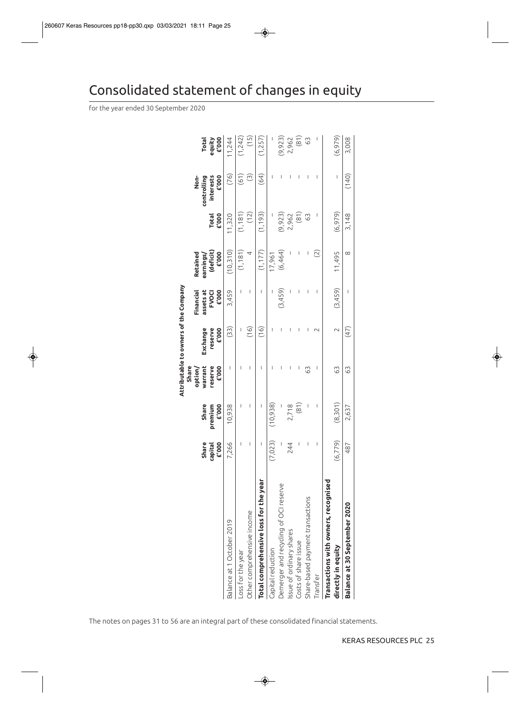# Consolidated statement of changes in equity

for the year ended 30 September 2020

|                                                            | E'000<br>Share<br>capital | Share<br>premium<br>E'000 | warrant<br>reserve<br>Share<br>£'000<br>option | Attributable to owners of the Company<br>Exchange<br>reserve<br>£'000 | assets at<br>$E'$ 000<br>Financial<br><b>FVOCI</b> | (deficit)<br>$E'$ 000<br>Retained<br>earnings/ | <b>Total</b><br>£'000 | £'000<br>controlling<br>interests<br>Non- | equity<br>£'000<br><b>Total</b> |
|------------------------------------------------------------|---------------------------|---------------------------|------------------------------------------------|-----------------------------------------------------------------------|----------------------------------------------------|------------------------------------------------|-----------------------|-------------------------------------------|---------------------------------|
| Balance at 1 October 2019                                  | 7,266                     | 10,938                    | I                                              | (33)                                                                  | 3,459                                              | (10,310)                                       | 11,320                | (76)                                      | 11,244                          |
| Loss for the year                                          | I                         | I                         | I                                              |                                                                       | $\overline{\phantom{a}}$                           | (1, 181)                                       | (1, 181)              | (61)                                      | (1, 242)                        |
| Other comprehensive income                                 | I                         | T                         | T                                              | (16)                                                                  | $\overline{\phantom{a}}$                           | 4                                              | (12)                  | $\odot$                                   | (15)                            |
| Total comprehensive loss for the year                      | J                         | $\overline{\phantom{a}}$  | $\overline{\phantom{a}}$                       | (16)                                                                  | $\overline{\phantom{a}}$                           | (1, 177)                                       | (1, 193)              | (64)                                      | (1,257)                         |
| Capital reduction                                          | (7, 023)                  | (10,938)                  |                                                |                                                                       |                                                    | 17,961                                         |                       | ı                                         |                                 |
| Demerger and recycling of OCI reserve                      |                           |                           |                                                | I                                                                     | (3,459)                                            | (6,464)                                        | (9, 923)              | I                                         | (9,923)                         |
| Issue of ordinary shares                                   | 244                       | 2,718                     | I                                              |                                                                       | I                                                  |                                                | 2,962                 | ı                                         | 2,962                           |
| Costs of share issue                                       |                           | (81)                      | I                                              | I                                                                     |                                                    | I                                              | (81)                  | I                                         | (81)                            |
| Share-based payment transactions                           | I                         |                           | 63                                             | T                                                                     | I                                                  | I                                              | $\mathbb{S}^3$        | I                                         | 63                              |
| Transfer                                                   | $\overline{\phantom{a}}$  | I                         | I                                              | $\sim$                                                                | I                                                  | $\widetilde{(\mathcal{Z})}$                    | I                     | $\mathsf{l}$                              | T                               |
| Transactions with owners, recognised<br>directly in equity | (6, 779)                  | (8, 301)                  | 63                                             | $\sim$                                                                | (3, 459)                                           | 11,495                                         | (6, 979)              | $\begin{array}{c} \end{array}$            | (6, 979)                        |
| Balance at 30 September 2020                               | 487                       | 2,637                     | 63                                             | (47)                                                                  | I                                                  | $\infty$                                       | 3,148                 | (140)                                     | 3,008                           |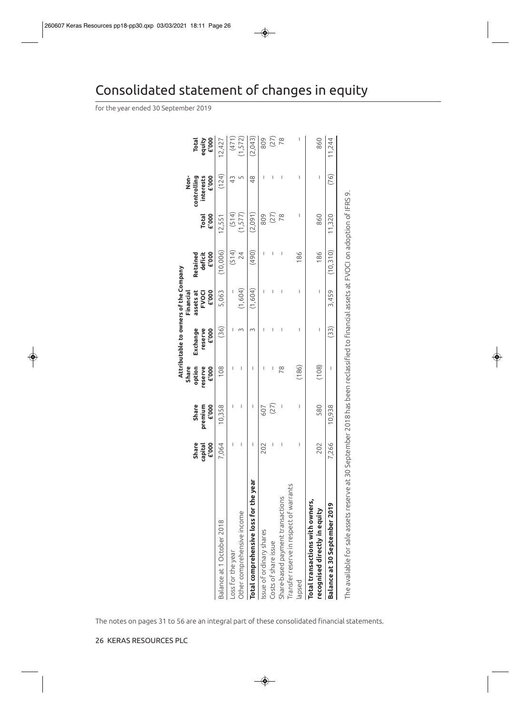|                                             |                                  |                                         |                            | Attributable to owners of the Company |                                           |                                                                                          |                       |                                                                                                                                                                                                                                                                                                                                                                                  |                                 |
|---------------------------------------------|----------------------------------|-----------------------------------------|----------------------------|---------------------------------------|-------------------------------------------|------------------------------------------------------------------------------------------|-----------------------|----------------------------------------------------------------------------------------------------------------------------------------------------------------------------------------------------------------------------------------------------------------------------------------------------------------------------------------------------------------------------------|---------------------------------|
|                                             |                                  |                                         | Share                      |                                       | Financial                                 |                                                                                          |                       | don-                                                                                                                                                                                                                                                                                                                                                                             |                                 |
|                                             | <b>E'000</b><br>Share<br>capital | <b>£'000</b><br><b>Share</b><br>premium | option<br>reserve<br>E'000 | Exchange<br>reserve<br>6000           | assets at<br><b>£'000</b><br><b>FVOCI</b> | 6000<br>deficit<br>Retained                                                              | £'000<br><b>Total</b> | 6000<br>controlling<br>interests                                                                                                                                                                                                                                                                                                                                                 | equity<br>£'000<br><b>Total</b> |
| Balance at 1 October 2018                   | 7,064                            | 10,358                                  | 108                        | (36)                                  | 5,063                                     | (10,006)                                                                                 | 12,551                | (124)                                                                                                                                                                                                                                                                                                                                                                            | 12,427                          |
| Loss for the year                           |                                  | I                                       |                            |                                       |                                           | (514)                                                                                    | (514)                 | 43                                                                                                                                                                                                                                                                                                                                                                               | (471)                           |
| Other comprehensive income                  | I                                | I                                       | I                          |                                       | (1,604)                                   | 24                                                                                       | (1,577)               |                                                                                                                                                                                                                                                                                                                                                                                  | (1,572)                         |
| Total comprehensive loss for the year       | I                                | I                                       | I                          | 3                                     | (1,604)                                   | (064)                                                                                    | (2,091)               | $\frac{8}{4}$                                                                                                                                                                                                                                                                                                                                                                    | (2,043)                         |
| issue of ordinary shares                    | 202                              | 607                                     |                            | I                                     |                                           | I                                                                                        | 809                   | I                                                                                                                                                                                                                                                                                                                                                                                | 809                             |
| Costs of share issue                        | I                                | (27)                                    | I                          | I                                     |                                           | I                                                                                        | (27)                  | I                                                                                                                                                                                                                                                                                                                                                                                | $(27)$                          |
| Share-based payment transactions            | I                                |                                         | 78                         | I                                     | I                                         | I                                                                                        | 78                    | I                                                                                                                                                                                                                                                                                                                                                                                | 78                              |
| ransfer reserve in respect of warrants      |                                  |                                         |                            |                                       |                                           |                                                                                          |                       |                                                                                                                                                                                                                                                                                                                                                                                  |                                 |
| lapsed                                      | I                                | $\begin{array}{c} \end{array}$          | (186)                      | $\begin{array}{c} \end{array}$        | I                                         | 186                                                                                      | I                     | $\begin{array}{c} \rule{0pt}{2.5ex} \rule{0pt}{2.5ex} \rule{0pt}{2.5ex} \rule{0pt}{2.5ex} \rule{0pt}{2.5ex} \rule{0pt}{2.5ex} \rule{0pt}{2.5ex} \rule{0pt}{2.5ex} \rule{0pt}{2.5ex} \rule{0pt}{2.5ex} \rule{0pt}{2.5ex} \rule{0pt}{2.5ex} \rule{0pt}{2.5ex} \rule{0pt}{2.5ex} \rule{0pt}{2.5ex} \rule{0pt}{2.5ex} \rule{0pt}{2.5ex} \rule{0pt}{2.5ex} \rule{0pt}{2.5ex} \rule{0$ |                                 |
| Total transactions with owners,             |                                  |                                         |                            |                                       |                                           |                                                                                          |                       |                                                                                                                                                                                                                                                                                                                                                                                  |                                 |
| recognised directly in equity               | 202                              | 580                                     | (108)                      | I                                     | I                                         | 186                                                                                      | 860                   | I                                                                                                                                                                                                                                                                                                                                                                                | 860                             |
| Balance at 30 September 2019                | 7,266                            | 10,938                                  | I                          | (33)                                  | 3,459                                     | (10, 310)                                                                                | 11,320                | (76)                                                                                                                                                                                                                                                                                                                                                                             | 11,244                          |
| The available for sale assets reserve at 30 |                                  |                                         |                            |                                       |                                           | September 2018 has been reclassified to financial assets at FVOCI on adoption of IFRS 9. |                       |                                                                                                                                                                                                                                                                                                                                                                                  |                                 |

# Consolidated statement of changes in equity

for the year ended 30 September 2019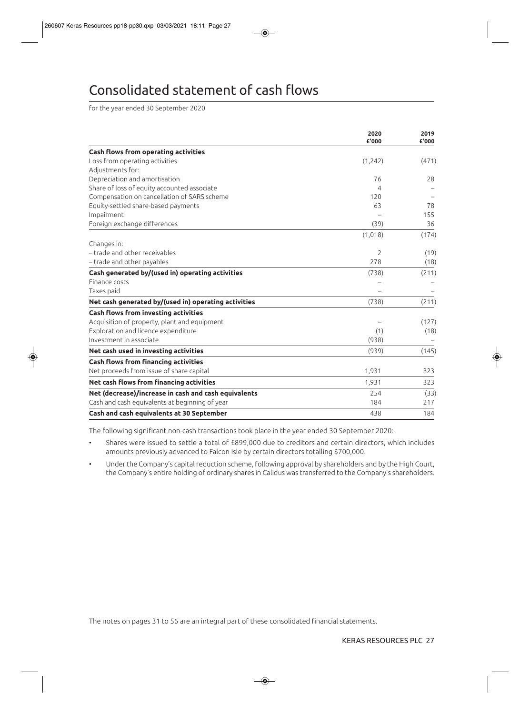# Consolidated statement of cash flows

for the year ended 30 September 2020

|                                                      | 2020<br>£'000  | 2019<br>£'000 |
|------------------------------------------------------|----------------|---------------|
| <b>Cash flows from operating activities</b>          |                |               |
| Loss from operating activities                       | (1, 242)       | (471)         |
| Adjustments for:                                     |                |               |
| Depreciation and amortisation                        | 76             | 28            |
| Share of loss of equity accounted associate          | 4              |               |
| Compensation on cancellation of SARS scheme          | 120            |               |
| Equity-settled share-based payments                  | 63             | 78            |
| Impairment                                           |                | 155           |
| Foreign exchange differences                         | (39)           | 36            |
|                                                      | (1,018)        | (174)         |
| Changes in:                                          |                |               |
| - trade and other receivables                        | $\overline{2}$ | (19)          |
| - trade and other payables                           | 278            | (18)          |
| Cash generated by/(used in) operating activities     | (738)          | (211)         |
| Finance costs                                        |                |               |
| Taxes paid                                           |                |               |
| Net cash generated by/(used in) operating activities | (738)          | (211)         |
| <b>Cash flows from investing activities</b>          |                |               |
| Acquisition of property, plant and equipment         |                | (127)         |
| Exploration and licence expenditure                  | (1)            | (18)          |
| Investment in associate                              | (938)          |               |
| Net cash used in investing activities                | (939)          | (145)         |
| <b>Cash flows from financing activities</b>          |                |               |
| Net proceeds from issue of share capital             | 1,931          | 323           |
| Net cash flows from financing activities             | 1,931          | 323           |
| Net (decrease)/increase in cash and cash equivalents | 254            | (33)          |
| Cash and cash equivalents at beginning of year       | 184            | 217           |
| Cash and cash equivalents at 30 September            | 438            | 184           |

The following significant non-cash transactions took place in the year ended 30 September 2020:

- Shares were issued to settle a total of £899,000 due to creditors and certain directors, which includes amounts previously advanced to Falcon Isle by certain directors totalling \$700,000.
- Under the Company's capital reduction scheme, following approval by shareholders and by the High Court, the Company's entire holding of ordinary shares in Calidus was transferred to the Company's shareholders.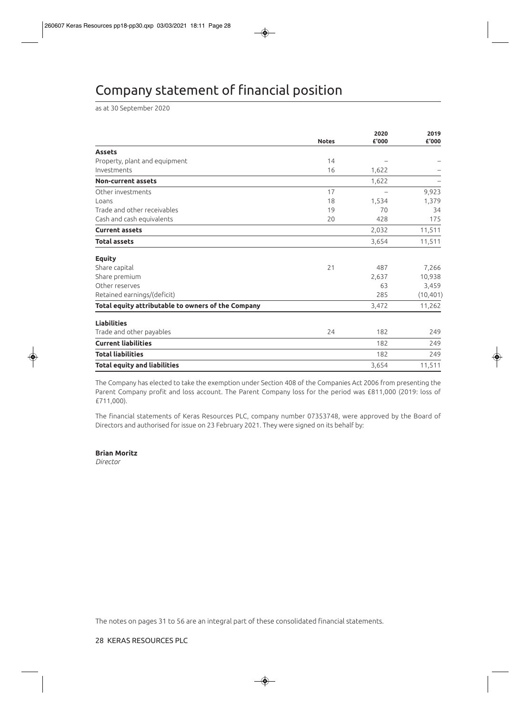# Company statement of financial position

as at 30 September 2020

|                                                    | <b>Notes</b> | 2020<br>£'000 | 2019<br>£'000 |
|----------------------------------------------------|--------------|---------------|---------------|
| <b>Assets</b>                                      |              |               |               |
| Property, plant and equipment                      | 14           |               |               |
| Investments                                        | 16           | 1,622         |               |
| <b>Non-current assets</b>                          |              | 1,622         |               |
| Other investments                                  | 17           |               | 9,923         |
| Loans                                              | 18           | 1,534         | 1,379         |
| Trade and other receivables                        | 19           | 70            | 34            |
| Cash and cash equivalents                          | 20           | 428           | 175           |
| <b>Current assets</b>                              |              | 2,032         | 11,511        |
| <b>Total assets</b>                                |              | 3,654         | 11,511        |
| <b>Equity</b>                                      |              |               |               |
| Share capital                                      | 21           | 487           | 7,266         |
| Share premium                                      |              | 2,637         | 10,938        |
| Other reserves                                     |              | 63            | 3,459         |
| Retained earnings/(deficit)                        |              | 285           | (10, 401)     |
| Total equity attributable to owners of the Company |              | 3,472         | 11,262        |
| <b>Liabilities</b>                                 |              |               |               |
| Trade and other payables                           | 24           | 182           | 249           |
| <b>Current liabilities</b>                         |              | 182           | 249           |
| <b>Total liabilities</b>                           |              | 182           | 249           |
| <b>Total equity and liabilities</b>                |              | 3,654         | 11,511        |

The Company has elected to take the exemption under Section 408 of the Companies Act 2006 from presenting the Parent Company profit and loss account. The Parent Company loss for the period was £811,000 (2019: loss of £711,000).

The financial statements of Keras Resources PLC, company number 07353748, were approved by the Board of Directors and authorised for issue on 23 February 2021. They were signed on its behalf by:

**Brian Moritz**

*Director*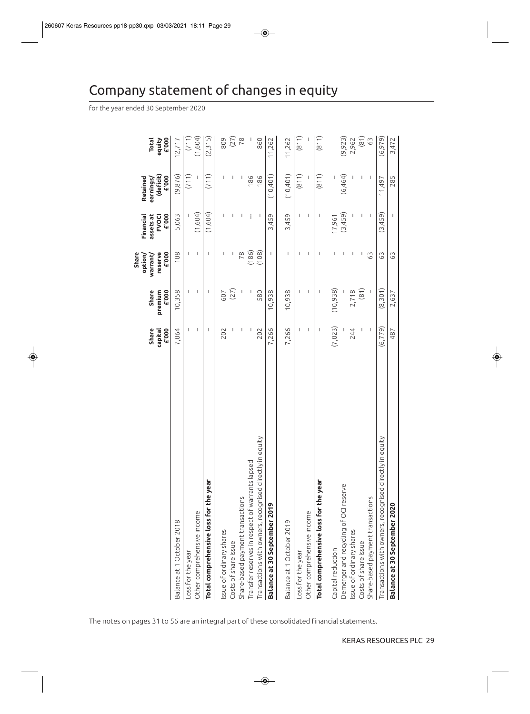# Company statement of changes in equity

for the year ended 30 September 2020

|                                                             | Share<br>capital | Share<br>premium | reserve<br>Share<br>option/<br>warranty | assets at<br><b>FVOCI</b><br>Financial | (deficit)<br>Retained<br>earnings/ | equity<br><b>Total</b> |
|-------------------------------------------------------------|------------------|------------------|-----------------------------------------|----------------------------------------|------------------------------------|------------------------|
| Balance at 1 October 2018                                   | £'000<br>7,064   | £'000<br>10,358  | £'000<br>108                            | £'000<br>5,063                         | (9,876)<br>£'000                   | 6000<br>12,717         |
| Loss for the year                                           | T                | T                | T                                       |                                        | (711)                              | (711)                  |
| Other comprehensive income                                  | I                | T                | I                                       | (1,604)                                |                                    | (1,604)                |
| Total comprehensive loss for the year                       | I                | I                | ı                                       | (1,604)                                | (711)                              | (2,315)                |
| ssue of ordinary shares                                     | 202              | 607              | I                                       | ı                                      | I                                  | 809                    |
| Costs of share issue                                        |                  | (27)             | L                                       | ı                                      | T                                  |                        |
| Share-based payment transactions                            | 1                |                  | 78                                      | 1                                      | I                                  | (27)                   |
| Transfer reserves in respect of warrants lapsed             |                  |                  | (186)                                   |                                        | 186                                |                        |
| y in equity<br>Transactions with owners, recognised directl | 202              | 580              | (108)                                   | J.                                     | 186                                | 860                    |
| Balance at 30 September 2019                                | 7,266            | 10,938           | T                                       | 3,459                                  | (10, 401)                          | 11,262                 |
| Balance at 1 October 2019                                   | 7,266            | 10,938           | I                                       | 3,459                                  | (10, 401)                          | 11,262                 |
| Loss for the year                                           | I                | I                | ı                                       | $\mathsf{l}$                           | (811)                              | (811)                  |
| Other comprehensive income                                  | I                | I                | I                                       | I                                      |                                    |                        |
| Total comprehensive loss for the year                       | I                | I                | Т                                       | I                                      | (811)                              | (811)                  |
| Capital reduction                                           | (7, 023)         | (10,938)         |                                         | 17,961                                 |                                    |                        |
| Demerger and recycling of OCI reserve                       |                  |                  | ı                                       | (3,459)                                | (6, 464)                           | (9, 923)               |
| Issue of ordinary shares                                    | 244              | 2,718            | J.                                      | $\mathbf{I}$                           | J.                                 | 2,962                  |
| Costs of share issue                                        | I                | (81)             | I                                       | I                                      | I                                  | (81)                   |
| Share-based payment transactions                            | I                |                  | 63                                      | J.                                     | $\mathbf{I}$                       | 63                     |
| y in equity<br>Transactions with owners, recognised directl | (6,779)          | (8, 301)         | 63                                      | (3, 459)                               | 11,497                             | (6, 979)               |
| Balance at 30 September 2020                                | 487              | 2,637            | 63                                      |                                        | 285                                | 3,472                  |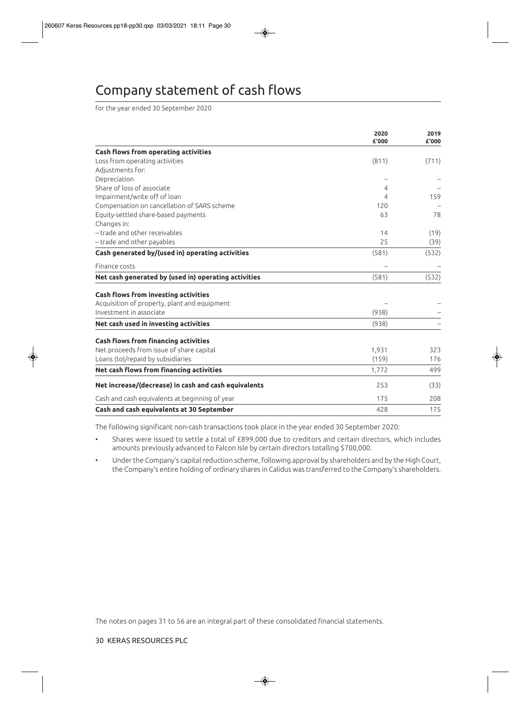# Company statement of cash flows

for the year ended 30 September 2020

|                                                      | 2020<br>£'000 | 2019<br>£'000 |
|------------------------------------------------------|---------------|---------------|
| <b>Cash flows from operating activities</b>          |               |               |
| Loss from operating activities                       | (811)         | (711)         |
| Adjustments for:                                     |               |               |
| Depreciation                                         |               |               |
| Share of loss of associate                           | 4             |               |
| Impairment/write off of loan                         | 4             | 159           |
| Compensation on cancellation of SARS scheme          | 120           |               |
| Equity-settled share-based payments                  | 63            | 78            |
| Changes in:                                          |               |               |
| - trade and other receivables                        | 14            | (19)          |
| - trade and other payables                           | 25            | (39)          |
| Cash generated by/(used in) operating activities     | (581)         | (532)         |
| Finance costs                                        |               |               |
| Net cash generated by (used in) operating activities | (581)         | (532)         |
| Cash flows from investing activities                 |               |               |
| Acquisition of property, plant and equipment         |               |               |
| Investment in associate                              | (938)         |               |
| Net cash used in investing activities                | (938)         |               |
| <b>Cash flows from financing activities</b>          |               |               |
| Net proceeds from issue of share capital             | 1,931         | 323           |
| Loans (to)/repaid by subsidiaries                    | (159)         | 176           |
| Net cash flows from financing activities             | 1,772         | 499           |
| Net increase/(decrease) in cash and cash equivalents | 253           | (33)          |
| Cash and cash equivalents at beginning of year       | 175           | 208           |
| Cash and cash equivalents at 30 September            | 428           | 175           |

The following significant non-cash transactions took place in the year ended 30 September 2020:

- Shares were issued to settle a total of £899,000 due to creditors and certain directors, which includes amounts previously advanced to Falcon Isle by certain directors totalling \$700,000.
- Under the Company's capital reduction scheme, following approval by shareholders and by the High Court, the Company's entire holding of ordinary shares in Calidus was transferred to the Company's shareholders.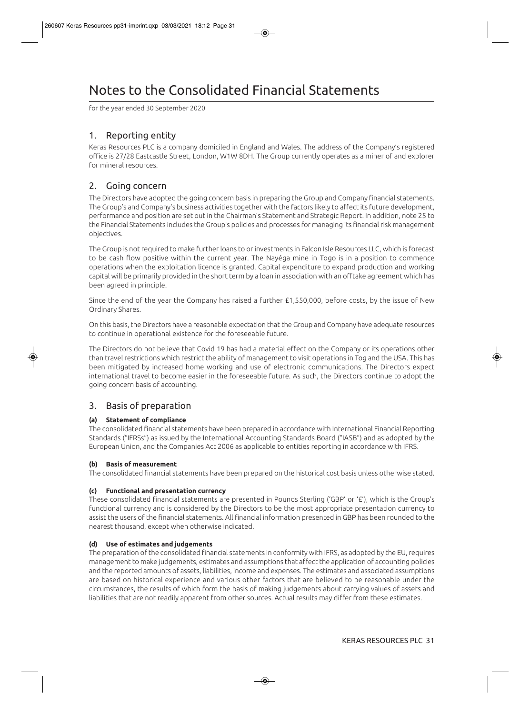# Notes to the Consolidated Financial Statements

for the year ended 30 September 2020

## 1. Reporting entity

Keras Resources PLC is a company domiciled in England and Wales. The address of the Company's registered office is 27/28 Eastcastle Street, London, W1W 8DH. The Group currently operates as a miner of and explorer for mineral resources.

## 2. Going concern

The Directors have adopted the going concern basis in preparing the Group and Company financial statements. The Group's and Company's business activities together with the factors likely to affect its future development, performance and position are set out in the Chairman's Statement and Strategic Report. In addition, note 25 to the Financial Statements includes the Group's policies and processes for managing its financial risk management objectives.

The Group is not required to make further loans to or investments in Falcon Isle Resources LLC, which is forecast to be cash flow positive within the current year. The Nayéga mine in Togo is in a position to commence operations when the exploitation licence is granted. Capital expenditure to expand production and working capital will be primarily provided in the short term by a loan in association with an offtake agreement which has been agreed in principle.

Since the end of the year the Company has raised a further £1,550,000, before costs, by the issue of New Ordinary Shares.

On this basis, the Directors have a reasonable expectation that the Group and Company have adequate resources to continue in operational existence for the foreseeable future.

The Directors do not believe that Covid 19 has had a material effect on the Company or its operations other than travel restrictions which restrict the ability of management to visit operations in Tog and the USA. This has been mitigated by increased home working and use of electronic communications. The Directors expect international travel to become easier in the foreseeable future. As such, the Directors continue to adopt the going concern basis of accounting.

## 3. Basis of preparation

### **(a) Statement of compliance**

The consolidated financial statements have been prepared in accordance with International Financial Reporting Standards ("IFRSs") as issued by the International Accounting Standards Board ("IASB") and as adopted by the European Union, and the Companies Act 2006 as applicable to entities reporting in accordance with IFRS.

#### **(b) Basis of measurement**

The consolidated financial statements have been prepared on the historical cost basis unless otherwise stated.

#### **(c) Functional and presentation currency**

These consolidated financial statements are presented in Pounds Sterling ('GBP' or '£'), which is the Group's functional currency and is considered by the Directors to be the most appropriate presentation currency to assist the users of the financial statements. All financial information presented in GBP has been rounded to the nearest thousand, except when otherwise indicated.

#### **(d) Use of estimates and judgements**

The preparation of the consolidated financial statements in conformity with IFRS, as adopted by the EU, requires management to make judgements, estimates and assumptions that affect the application of accounting policies and the reported amounts of assets, liabilities, income and expenses. The estimates and associated assumptions are based on historical experience and various other factors that are believed to be reasonable under the circumstances, the results of which form the basis of making judgements about carrying values of assets and liabilities that are not readily apparent from other sources. Actual results may differ from these estimates.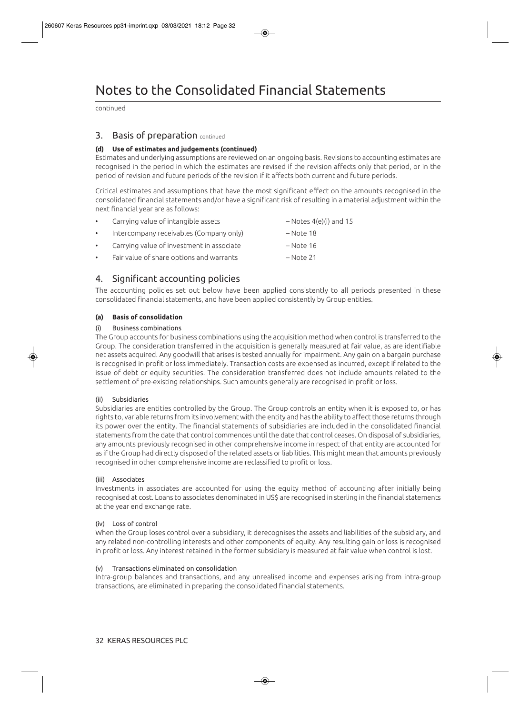continued

### 3. Basis of preparation continued

#### **(d) Use of estimates and judgements (continued)**

Estimates and underlying assumptions are reviewed on an ongoing basis. Revisions to accounting estimates are recognised in the period in which the estimates are revised if the revision affects only that period, or in the period of revision and future periods of the revision if it affects both current and future periods.

Critical estimates and assumptions that have the most significant effect on the amounts recognised in the consolidated financial statements and/or have a significant risk of resulting in a material adjustment within the next financial year are as follows:

| $\bullet$ | Carrying value of intangible assets       | $-$ Notes 4(e)(i) and 15 |
|-----------|-------------------------------------------|--------------------------|
| $\bullet$ | Intercompany receivables (Company only)   | – Note 18                |
| $\bullet$ | Carrying value of investment in associate | – Note 16                |
|           |                                           |                          |

• Fair value of share options and warrants – Note 21

## 4. Significant accounting policies

The accounting policies set out below have been applied consistently to all periods presented in these consolidated financial statements, and have been applied consistently by Group entities.

#### **(a) Basis of consolidation**

#### (i) Business combinations

The Group accounts for business combinations using the acquisition method when control is transferred to the Group. The consideration transferred in the acquisition is generally measured at fair value, as are identifiable net assets acquired. Any goodwill that arises is tested annually for impairment. Any gain on a bargain purchase is recognised in profit or loss immediately. Transaction costs are expensed as incurred, except if related to the issue of debt or equity securities. The consideration transferred does not include amounts related to the settlement of pre-existing relationships. Such amounts generally are recognised in profit or loss.

#### (ii) Subsidiaries

Subsidiaries are entities controlled by the Group. The Group controls an entity when it is exposed to, or has rights to, variable returns from its involvement with the entity and has the ability to affect those returns through its power over the entity. The financial statements of subsidiaries are included in the consolidated financial statements from the date that control commences until the date that control ceases. On disposal of subsidiaries, any amounts previously recognised in other comprehensive income in respect of that entity are accounted for as if the Group had directly disposed of the related assets or liabilities. This might mean that amounts previously recognised in other comprehensive income are reclassified to profit or loss.

#### (iii) Associates

Investments in associates are accounted for using the equity method of accounting after initially being recognised at cost. Loans to associates denominated in US\$ are recognised in sterling in the financial statements at the year end exchange rate.

#### (iv) Loss of control

When the Group loses control over a subsidiary, it derecognises the assets and liabilities of the subsidiary, and any related non-controlling interests and other components of equity. Any resulting gain or loss is recognised in profit or loss. Any interest retained in the former subsidiary is measured at fair value when control is lost.

#### (v) Transactions eliminated on consolidation

Intra-group balances and transactions, and any unrealised income and expenses arising from intra-group transactions, are eliminated in preparing the consolidated financial statements.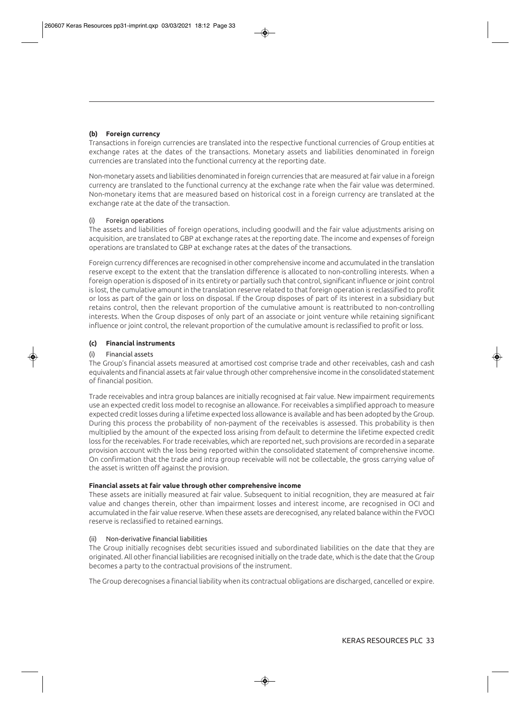#### **(b) Foreign currency**

Transactions in foreign currencies are translated into the respective functional currencies of Group entities at exchange rates at the dates of the transactions. Monetary assets and liabilities denominated in foreign currencies are translated into the functional currency at the reporting date.

Non-monetary assets and liabilities denominated in foreign currencies that are measured at fair value in a foreign currency are translated to the functional currency at the exchange rate when the fair value was determined. Non-monetary items that are measured based on historical cost in a foreign currency are translated at the exchange rate at the date of the transaction.

#### (i) Foreign operations

The assets and liabilities of foreign operations, including goodwill and the fair value adjustments arising on acquisition, are translated to GBP at exchange rates at the reporting date. The income and expenses of foreign operations are translated to GBP at exchange rates at the dates of the transactions.

Foreign currency differences are recognised in other comprehensive income and accumulated in the translation reserve except to the extent that the translation difference is allocated to non-controlling interests. When a foreign operation is disposed of in its entirety or partially such that control, significant influence or joint control is lost, the cumulative amount in the translation reserve related to that foreign operation is reclassified to profit or loss as part of the gain or loss on disposal. If the Group disposes of part of its interest in a subsidiary but retains control, then the relevant proportion of the cumulative amount is reattributed to non-controlling interests. When the Group disposes of only part of an associate or joint venture while retaining significant influence or joint control, the relevant proportion of the cumulative amount is reclassified to profit or loss.

#### **(c) Financial instruments**

#### (i) Financial assets

The Group's financial assets measured at amortised cost comprise trade and other receivables, cash and cash equivalents and financial assets at fair value through other comprehensive income in the consolidated statement of financial position.

Trade receivables and intra group balances are initially recognised at fair value. New impairment requirements use an expected credit loss model to recognise an allowance. For receivables a simplified approach to measure expected credit losses during a lifetime expected loss allowance is available and has been adopted by the Group. During this process the probability of non-payment of the receivables is assessed. This probability is then multiplied by the amount of the expected loss arising from default to determine the lifetime expected credit loss for the receivables. For trade receivables, which are reported net, such provisions are recorded in a separate provision account with the loss being reported within the consolidated statement of comprehensive income. On confirmation that the trade and intra group receivable will not be collectable, the gross carrying value of the asset is written off against the provision.

#### **Financial assets at fair value through other comprehensive income**

These assets are initially measured at fair value. Subsequent to initial recognition, they are measured at fair value and changes therein, other than impairment losses and interest income, are recognised in OCI and accumulated in the fair value reserve. When these assets are derecognised, any related balance within the FVOCI reserve is reclassified to retained earnings.

#### (ii) Non-derivative financial liabilities

The Group initially recognises debt securities issued and subordinated liabilities on the date that they are originated. All other financial liabilities are recognised initially on the trade date, which is the date that the Group becomes a party to the contractual provisions of the instrument.

The Group derecognises a financial liability when its contractual obligations are discharged, cancelled or expire.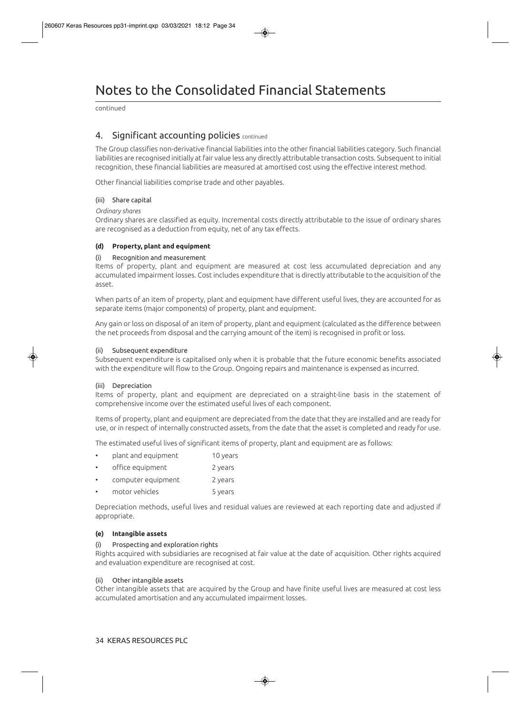# Notes to the Consolidated Financial Statements

continued

### 4. Significant accounting policies continued

The Group classifies non-derivative financial liabilities into the other financial liabilities category. Such financial liabilities are recognised initially at fair value less any directly attributable transaction costs. Subsequent to initial recognition, these financial liabilities are measured at amortised cost using the effective interest method.

Other financial liabilities comprise trade and other payables.

#### (iii) Share capital

#### *Ordinary shares*

Ordinary shares are classified as equity. Incremental costs directly attributable to the issue of ordinary shares are recognised as a deduction from equity, net of any tax effects.

#### **(d) Property, plant and equipment**

#### (i) Recognition and measurement

Items of property, plant and equipment are measured at cost less accumulated depreciation and any accumulated impairment losses. Cost includes expenditure that is directly attributable to the acquisition of the asset.

When parts of an item of property, plant and equipment have different useful lives, they are accounted for as separate items (major components) of property, plant and equipment.

Any gain or loss on disposal of an item of property, plant and equipment (calculated as the difference between the net proceeds from disposal and the carrying amount of the item) is recognised in profit or loss.

#### (ii) Subsequent expenditure

Subsequent expenditure is capitalised only when it is probable that the future economic benefits associated with the expenditure will flow to the Group. Ongoing repairs and maintenance is expensed as incurred.

#### (iii) Depreciation

Items of property, plant and equipment are depreciated on a straight-line basis in the statement of comprehensive income over the estimated useful lives of each component.

Items of property, plant and equipment are depreciated from the date that they are installed and are ready for use, or in respect of internally constructed assets, from the date that the asset is completed and ready for use.

The estimated useful lives of significant items of property, plant and equipment are as follows:

| plant and equipment | 10 years |
|---------------------|----------|
|---------------------|----------|

- office equipment 2 years
- computer equipment 2 years
- motor vehicles 5 years

Depreciation methods, useful lives and residual values are reviewed at each reporting date and adjusted if appropriate.

#### **(e) Intangible assets**

#### (i) Prospecting and exploration rights

Rights acquired with subsidiaries are recognised at fair value at the date of acquisition. Other rights acquired and evaluation expenditure are recognised at cost.

#### (ii) Other intangible assets

Other intangible assets that are acquired by the Group and have finite useful lives are measured at cost less accumulated amortisation and any accumulated impairment losses.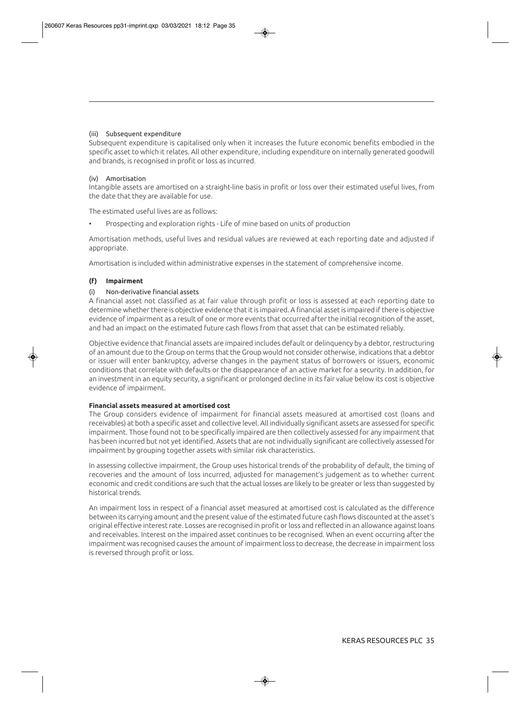#### (iii) Subsequent expenditure

Subsequent expenditure is capitalised only when it increases the future economic benefits embodied in the specific asset to which it relates. All other expenditure, including expenditure on internally generated goodwill and brands, is recognised in profit or loss as incurred.

#### (iv) Amortisation

Intangible assets are amortised on a straight-line basis in profit or loss over their estimated useful lives, from the date that they are available for use.

The estimated useful lives are as follows:

• Prospecting and exploration rights - Life of mine based on units of production

Amortisation methods, useful lives and residual values are reviewed at each reporting date and adjusted if appropriate.

Amortisation is included within administrative expenses in the statement of comprehensive income.

#### **(f) Impairment**

#### (i) Non-derivative financial assets

A financial asset not classified as at fair value through profit or loss is assessed at each reporting date to determine whether there is objective evidence that it is impaired. A financial asset is impaired if there is objective evidence of impairment as a result of one or more events that occurred after the initial recognition of the asset, and had an impact on the estimated future cash flows from that asset that can be estimated reliably.

Objective evidence that financial assets are impaired includes default or delinquency by a debtor, restructuring of an amount due to the Group on terms that the Group would not consider otherwise, indications that a debtor or issuer will enter bankruptcy, adverse changes in the payment status of borrowers or issuers, economic conditions that correlate with defaults or the disappearance of an active market for a security. In addition, for an investment in an equity security, a significant or prolonged decline in its fair value below its cost is objective evidence of impairment.

#### **Financial assets measured at amortised cost**

The Group considers evidence of impairment for financial assets measured at amortised cost (loans and receivables) at both a specific asset and collective level. All individually significant assets are assessed for specific impairment. Those found not to be specifically impaired are then collectively assessed for any impairment that has been incurred but not yet identified. Assets that are not individually significant are collectively assessed for impairment by grouping together assets with similar risk characteristics.

In assessing collective impairment, the Group uses historical trends of the probability of default, the timing of recoveries and the amount of loss incurred, adjusted for management's judgement as to whether current economic and credit conditions are such that the actual losses are likely to be greater or less than suggested by historical trends.

An impairment loss in respect of a financial asset measured at amortised cost is calculated as the difference between its carrying amount and the present value of the estimated future cash flows discounted at the asset's original effective interest rate. Losses are recognised in profit or loss and reflected in an allowance against loans and receivables. Interest on the impaired asset continues to be recognised. When an event occurring after the impairment was recognised causes the amount of impairment loss to decrease, the decrease in impairment loss is reversed through profit or loss.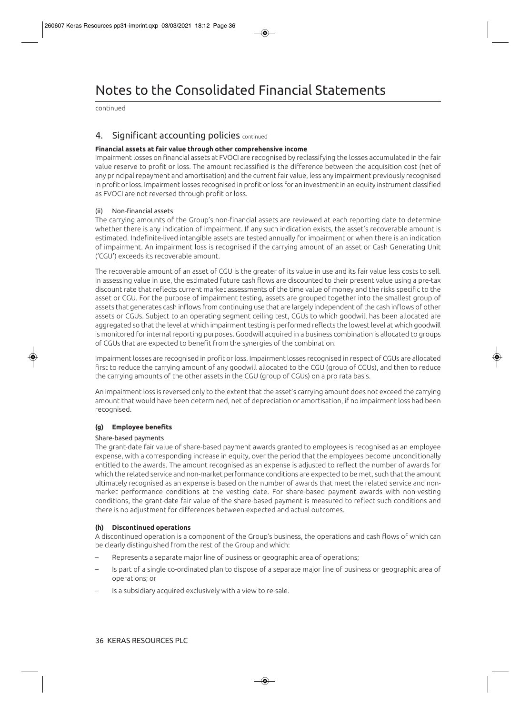continued

## 4. Significant accounting policies continued

#### **Financial assets at fair value through other comprehensive income**

Impairment losses on financial assets at FVOCI are recognised by reclassifying the losses accumulated in the fair value reserve to profit or loss. The amount reclassified is the difference between the acquisition cost (net of any principal repayment and amortisation) and the current fair value, less any impairment previously recognised in profit or loss. Impairment losses recognised in profit or loss for an investment in an equity instrument classified as FVOCI are not reversed through profit or loss.

#### (ii) Non-financial assets

The carrying amounts of the Group's non-financial assets are reviewed at each reporting date to determine whether there is any indication of impairment. If any such indication exists, the asset's recoverable amount is estimated. Indefinite-lived intangible assets are tested annually for impairment or when there is an indication of impairment. An impairment loss is recognised if the carrying amount of an asset or Cash Generating Unit ('CGU') exceeds its recoverable amount.

The recoverable amount of an asset of CGU is the greater of its value in use and its fair value less costs to sell. In assessing value in use, the estimated future cash flows are discounted to their present value using a pre-tax discount rate that reflects current market assessments of the time value of money and the risks specific to the asset or CGU. For the purpose of impairment testing, assets are grouped together into the smallest group of assets that generates cash inflows from continuing use that are largely independent of the cash inflows of other assets or CGUs. Subject to an operating segment ceiling test, CGUs to which goodwill has been allocated are aggregated so that the level at which impairment testing is performed reflects the lowest level at which goodwill is monitored for internal reporting purposes. Goodwill acquired in a business combination is allocated to groups of CGUs that are expected to benefit from the synergies of the combination.

Impairment losses are recognised in profit or loss. Impairment losses recognised in respect of CGUs are allocated first to reduce the carrying amount of any goodwill allocated to the CGU (group of CGUs), and then to reduce the carrying amounts of the other assets in the CGU (group of CGUs) on a pro rata basis.

An impairment loss is reversed only to the extent that the asset's carrying amount does not exceed the carrying amount that would have been determined, net of depreciation or amortisation, if no impairment loss had been recognised.

#### **(g) Employee benefits**

#### Share-based payments

The grant-date fair value of share-based payment awards granted to employees is recognised as an employee expense, with a corresponding increase in equity, over the period that the employees become unconditionally entitled to the awards. The amount recognised as an expense is adjusted to reflect the number of awards for which the related service and non-market performance conditions are expected to be met, such that the amount ultimately recognised as an expense is based on the number of awards that meet the related service and nonmarket performance conditions at the vesting date. For share-based payment awards with non-vesting conditions, the grant-date fair value of the share-based payment is measured to reflect such conditions and there is no adjustment for differences between expected and actual outcomes.

#### **(h) Discontinued operations**

A discontinued operation is a component of the Group's business, the operations and cash flows of which can be clearly distinguished from the rest of the Group and which:

- Represents a separate major line of business or geographic area of operations;
- Is part of a single co-ordinated plan to dispose of a separate major line of business or geographic area of operations; or
- Is a subsidiary acquired exclusively with a view to re-sale.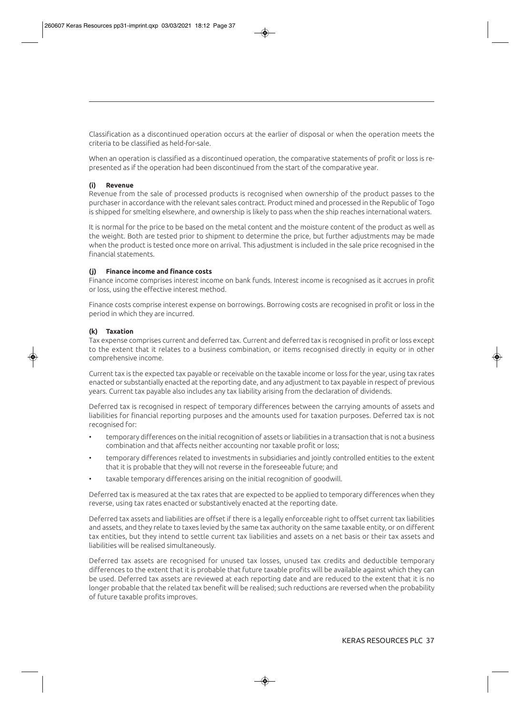Classification as a discontinued operation occurs at the earlier of disposal or when the operation meets the criteria to be classified as held-for-sale.

When an operation is classified as a discontinued operation, the comparative statements of profit or loss is represented as if the operation had been discontinued from the start of the comparative year.

#### **(i) Revenue**

Revenue from the sale of processed products is recognised when ownership of the product passes to the purchaser in accordance with the relevant sales contract. Product mined and processed in the Republic of Togo is shipped for smelting elsewhere, and ownership is likely to pass when the ship reaches international waters.

It is normal for the price to be based on the metal content and the moisture content of the product as well as the weight. Both are tested prior to shipment to determine the price, but further adjustments may be made when the product is tested once more on arrival. This adjustment is included in the sale price recognised in the financial statements.

#### **(j) Finance income and finance costs**

Finance income comprises interest income on bank funds. Interest income is recognised as it accrues in profit or loss, using the effective interest method.

Finance costs comprise interest expense on borrowings. Borrowing costs are recognised in profit or loss in the period in which they are incurred.

#### **(k) Taxation**

Tax expense comprises current and deferred tax. Current and deferred tax is recognised in profit or loss except to the extent that it relates to a business combination, or items recognised directly in equity or in other comprehensive income.

Current tax is the expected tax payable or receivable on the taxable income or loss for the year, using tax rates enacted or substantially enacted at the reporting date, and any adjustment to tax payable in respect of previous years. Current tax payable also includes any tax liability arising from the declaration of dividends.

Deferred tax is recognised in respect of temporary differences between the carrying amounts of assets and liabilities for financial reporting purposes and the amounts used for taxation purposes. Deferred tax is not recognised for:

- temporary differences on the initial recognition of assets or liabilities in a transaction that is not a business combination and that affects neither accounting nor taxable profit or loss;
- temporary differences related to investments in subsidiaries and jointly controlled entities to the extent that it is probable that they will not reverse in the foreseeable future; and
- taxable temporary differences arising on the initial recognition of goodwill.

Deferred tax is measured at the tax rates that are expected to be applied to temporary differences when they reverse, using tax rates enacted or substantively enacted at the reporting date.

Deferred tax assets and liabilities are offset if there is a legally enforceable right to offset current tax liabilities and assets, and they relate to taxes levied by the same tax authority on the same taxable entity, or on different tax entities, but they intend to settle current tax liabilities and assets on a net basis or their tax assets and liabilities will be realised simultaneously.

Deferred tax assets are recognised for unused tax losses, unused tax credits and deductible temporary differences to the extent that it is probable that future taxable profits will be available against which they can be used. Deferred tax assets are reviewed at each reporting date and are reduced to the extent that it is no longer probable that the related tax benefit will be realised; such reductions are reversed when the probability of future taxable profits improves.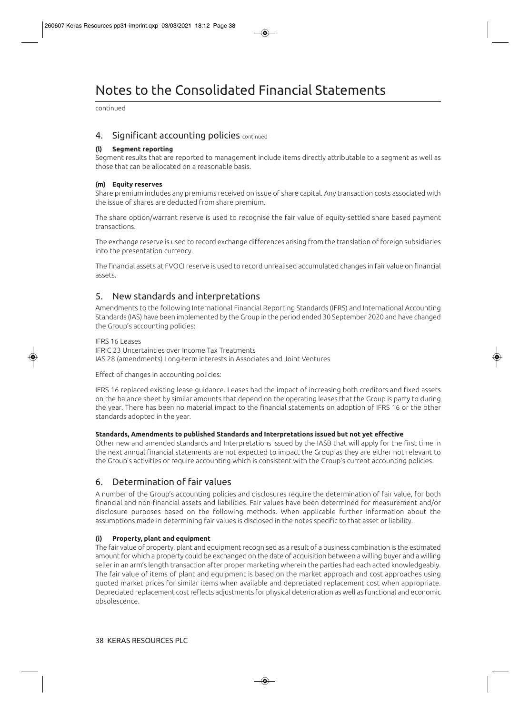# Notes to the Consolidated Financial Statements

continued

### 4. Significant accounting policies continued

#### **(l) Segment reporting**

Segment results that are reported to management include items directly attributable to a segment as well as those that can be allocated on a reasonable basis.

#### **(m) Equity reserves**

Share premium includes any premiums received on issue of share capital. Any transaction costs associated with the issue of shares are deducted from share premium.

The share option/warrant reserve is used to recognise the fair value of equity-settled share based payment transactions.

The exchange reserve is used to record exchange differences arising from the translation of foreign subsidiaries into the presentation currency.

The financial assets at FVOCI reserve is used to record unrealised accumulated changes in fair value on financial assets.

## 5. New standards and interpretations

Amendments to the following International Financial Reporting Standards (IFRS) and International Accounting Standards (IAS) have been implemented by the Group in the period ended 30 September 2020 and have changed the Group's accounting policies:

#### IFRS 16 Leases

IFRIC 23 Uncertainties over Income Tax Treatments IAS 28 (amendments) Long-term interests in Associates and Joint Ventures

Effect of changes in accounting policies:

IFRS 16 replaced existing lease guidance. Leases had the impact of increasing both creditors and fixed assets on the balance sheet by similar amounts that depend on the operating leases that the Group is party to during the year. There has been no material impact to the financial statements on adoption of IFRS 16 or the other standards adopted in the year.

#### **Standards, Amendments to published Standards and Interpretations issued but not yet effective**

Other new and amended standards and Interpretations issued by the IASB that will apply for the first time in the next annual financial statements are not expected to impact the Group as they are either not relevant to the Group's activities or require accounting which is consistent with the Group's current accounting policies.

## 6. Determination of fair values

A number of the Group's accounting policies and disclosures require the determination of fair value, for both financial and non-financial assets and liabilities. Fair values have been determined for measurement and/or disclosure purposes based on the following methods. When applicable further information about the assumptions made in determining fair values is disclosed in the notes specific to that asset or liability.

#### **(i) Property, plant and equipment**

The fair value of property, plant and equipment recognised as a result of a business combination is the estimated amount for which a property could be exchanged on the date of acquisition between a willing buyer and a willing seller in an arm's length transaction after proper marketing wherein the parties had each acted knowledgeably. The fair value of items of plant and equipment is based on the market approach and cost approaches using quoted market prices for similar items when available and depreciated replacement cost when appropriate. Depreciated replacement cost reflects adjustments for physical deterioration as well as functional and economic obsolescence.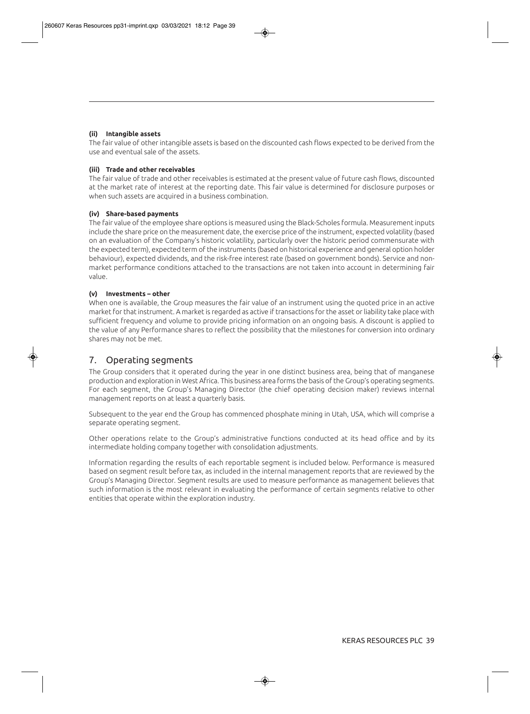#### **(ii) Intangible assets**

The fair value of other intangible assets is based on the discounted cash flows expected to be derived from the use and eventual sale of the assets.

#### **(iii) Trade and other receivables**

The fair value of trade and other receivables is estimated at the present value of future cash flows, discounted at the market rate of interest at the reporting date. This fair value is determined for disclosure purposes or when such assets are acquired in a business combination.

#### **(iv) Share-based payments**

The fair value of the employee share options is measured using the Black-Scholes formula. Measurement inputs include the share price on the measurement date, the exercise price of the instrument, expected volatility (based on an evaluation of the Company's historic volatility, particularly over the historic period commensurate with the expected term), expected term of the instruments (based on historical experience and general option holder behaviour), expected dividends, and the risk-free interest rate (based on government bonds). Service and nonmarket performance conditions attached to the transactions are not taken into account in determining fair value.

#### **(v) Investments – other**

When one is available, the Group measures the fair value of an instrument using the quoted price in an active market for that instrument. A market is regarded as active if transactions for the asset or liability take place with sufficient frequency and volume to provide pricing information on an ongoing basis. A discount is applied to the value of any Performance shares to reflect the possibility that the milestones for conversion into ordinary shares may not be met.

### 7. Operating segments

The Group considers that it operated during the year in one distinct business area, being that of manganese production and exploration in West Africa. This business area forms the basis of the Group's operating segments. For each segment, the Group's Managing Director (the chief operating decision maker) reviews internal management reports on at least a quarterly basis.

Subsequent to the year end the Group has commenced phosphate mining in Utah, USA, which will comprise a separate operating segment.

Other operations relate to the Group's administrative functions conducted at its head office and by its intermediate holding company together with consolidation adjustments.

Information regarding the results of each reportable segment is included below. Performance is measured based on segment result before tax, as included in the internal management reports that are reviewed by the Group's Managing Director. Segment results are used to measure performance as management believes that such information is the most relevant in evaluating the performance of certain segments relative to other entities that operate within the exploration industry.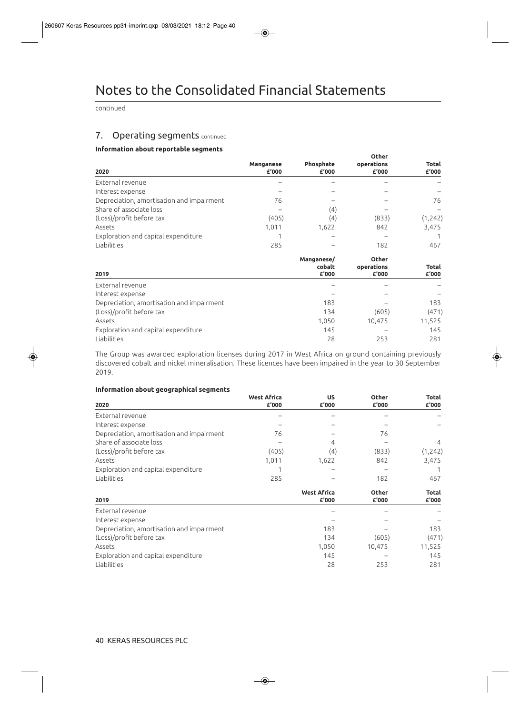continued

## 7. Operating segments continued

#### **Information about reportable segments**

| en asoac reportaste segments              |                    |                               | <b>Other</b>                        |                       |
|-------------------------------------------|--------------------|-------------------------------|-------------------------------------|-----------------------|
| 2020                                      | Manganese<br>£'000 | Phosphate<br>£'000            | operations<br>£'000                 | Total<br>£'000        |
| External revenue                          |                    |                               |                                     |                       |
| Interest expense                          |                    |                               |                                     |                       |
| Depreciation, amortisation and impairment | 76                 |                               |                                     | 76                    |
| Share of associate loss                   |                    | (4)                           |                                     |                       |
| (Loss)/profit before tax                  | (405)              | (4)                           | (833)                               | (1, 242)              |
| Assets                                    | 1,011              | 1,622                         | 842                                 | 3,475                 |
| Exploration and capital expenditure       |                    |                               |                                     |                       |
| Liabilities                               | 285                |                               | 182                                 | 467                   |
| 2019                                      |                    | Manganese/<br>cobalt<br>£'000 | <b>Other</b><br>operations<br>£'000 | <b>Total</b><br>£'000 |
| External revenue                          |                    |                               |                                     |                       |
| Interest expense                          |                    |                               |                                     |                       |
| Depreciation, amortisation and impairment |                    | 183                           |                                     | 183                   |
| (Loss)/profit before tax                  |                    | 134                           | (605)                               | (471)                 |
| Assets                                    |                    | 1,050                         | 10,475                              | 11,525                |
| Exploration and capital expenditure       |                    | 145                           |                                     | 145                   |
| Liabilities                               |                    | 28                            | 253                                 | 281                   |

The Group was awarded exploration licenses during 2017 in West Africa on ground containing previously discovered cobalt and nickel mineralisation. These licences have been impaired in the year to 30 September 2019.

#### **Information about geographical segments**

| 2020                                      | <b>West Africa</b><br>£'000 | <b>US</b><br>£'000          | <b>Other</b><br>£'000 | <b>Total</b><br>£'000 |
|-------------------------------------------|-----------------------------|-----------------------------|-----------------------|-----------------------|
| External revenue                          |                             |                             |                       |                       |
| Interest expense                          |                             |                             |                       |                       |
| Depreciation, amortisation and impairment | 76                          |                             | 76                    |                       |
| Share of associate loss                   |                             | 4                           |                       | 4                     |
| (Loss)/profit before tax                  | (405)                       | (4)                         | (833)                 | (1,242)               |
| Assets                                    | 1,011                       | 1,622                       | 842                   | 3,475                 |
| Exploration and capital expenditure       |                             |                             |                       |                       |
| Liabilities                               | 285                         |                             | 182                   | 467                   |
| 2019                                      |                             | <b>West Africa</b><br>£'000 | <b>Other</b><br>£'000 | Total<br>£'000        |
| External revenue                          |                             |                             |                       |                       |
| Interest expense                          |                             |                             |                       |                       |
| Depreciation, amortisation and impairment |                             | 183                         |                       | 183                   |
| (Loss)/profit before tax                  |                             | 134                         | (605)                 | (471)                 |
| Assets                                    |                             | 1,050                       | 10,475                | 11,525                |
| Exploration and capital expenditure       |                             | 145                         |                       | 145                   |
| Liabilities                               |                             | 28                          | 253                   | 281                   |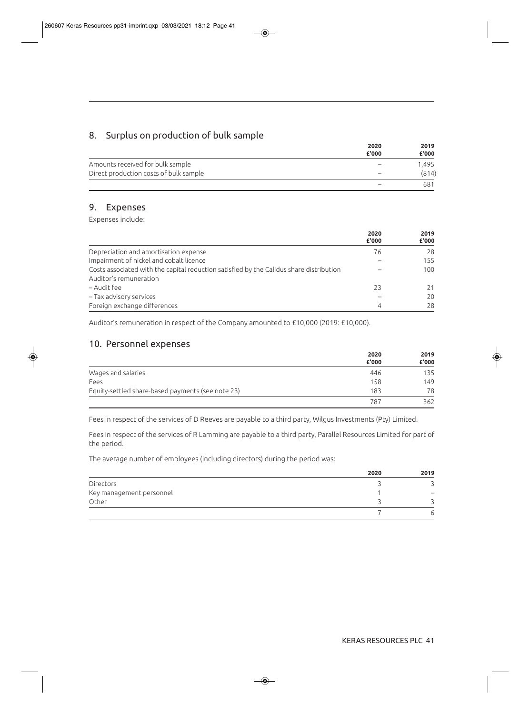# 8. Surplus on production of bulk sample

|                                        | 2020<br>£'000            | 2019<br>£'000 |
|----------------------------------------|--------------------------|---------------|
| Amounts received for bulk sample       | $\overline{\phantom{a}}$ | 1.495         |
| Direct production costs of bulk sample | $\overline{\phantom{a}}$ | (814)         |
|                                        | $\overline{\phantom{a}}$ | 681           |

## 9. Expenses

Expenses include:

|                                                                                         | 2020<br>£'000 | 2019<br>£'000 |
|-----------------------------------------------------------------------------------------|---------------|---------------|
| Depreciation and amortisation expense                                                   | 76            | 28            |
| Impairment of nickel and cobalt licence                                                 |               | 155           |
| Costs associated with the capital reduction satisfied by the Calidus share distribution |               | 100           |
| Auditor's remuneration                                                                  |               |               |
| – Audit fee                                                                             | 23            | 21            |
| - Tax advisory services                                                                 |               | 20            |
| Foreign exchange differences                                                            | 4             | 28            |

Auditor's remuneration in respect of the Company amounted to £10,000 (2019: £10,000).

# 10. Personnel expenses

|                                                   | 2020<br>£'000 | 2019<br>£'000 |
|---------------------------------------------------|---------------|---------------|
| Wages and salaries                                | 446           | 135           |
| Fees                                              | 158           | 149           |
| Equity-settled share-based payments (see note 23) | 183           | 78            |
|                                                   | 787           | 362           |

Fees in respect of the services of D Reeves are payable to a third party, Wilgus Investments (Pty) Limited.

Fees in respect of the services of R Lamming are payable to a third party, Parallel Resources Limited for part of the period.

The average number of employees (including directors) during the period was:

|                          | 2020 | 2019 |
|--------------------------|------|------|
| Directors                |      |      |
| Key management personnel |      |      |
| Other                    |      |      |
|                          |      | ь    |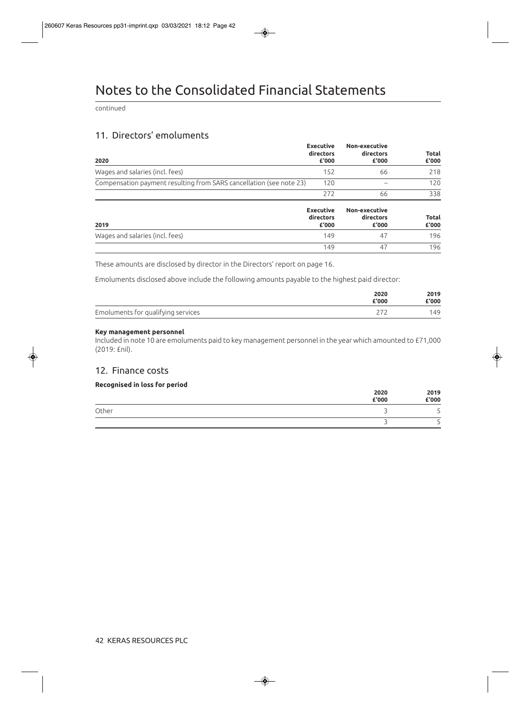continued

# 11. Directors' emoluments

| 2020                                                                | <b>Executive</b><br>directors<br>£'000 | Non-executive<br>directors<br>£'000 | <b>Total</b><br>£'000 |
|---------------------------------------------------------------------|----------------------------------------|-------------------------------------|-----------------------|
| Wages and salaries (incl. fees)                                     | 152                                    | 66                                  | 218                   |
| Compensation payment resulting from SARS cancellation (see note 23) | 120                                    |                                     | 120                   |
|                                                                     | 272                                    | 66                                  | 338                   |
| 2019                                                                | <b>Executive</b><br>directors<br>£'000 | Non-executive<br>directors<br>£'000 | <b>Total</b><br>£'000 |
| Wages and salaries (incl. fees)                                     | 149                                    | 47                                  | 196                   |
|                                                                     | 149                                    | 47                                  | 196                   |

These amounts are disclosed by director in the Directors' report on page 16.

Emoluments disclosed above include the following amounts payable to the highest paid director:

|                                    | 2020<br>£'000 | 2019<br>£'000 |
|------------------------------------|---------------|---------------|
| Emoluments for qualifying services |               | 149           |

#### **Key management personnel**

Included in note 10 are emoluments paid to key management personnel in the year which amounted to £71,000 (2019: £nil).

## 12. Finance costs

#### **Recognised in loss for period**

|       | 2020<br>£'000 | 2019<br>£'000 |
|-------|---------------|---------------|
| Other |               | -             |
|       |               |               |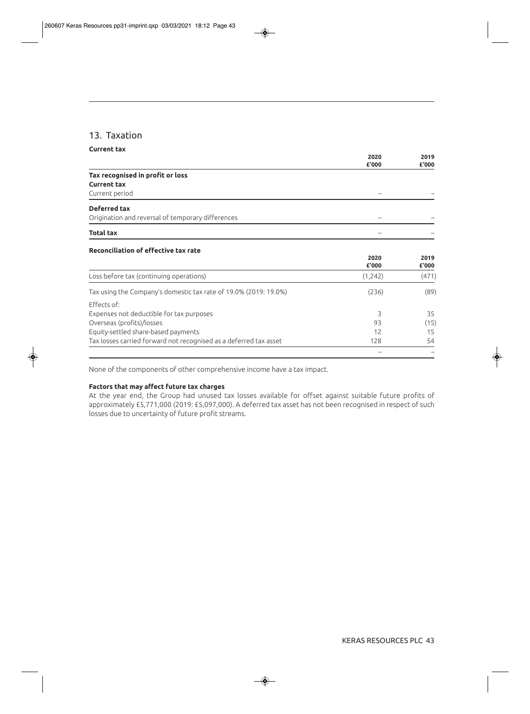## 13. Taxation

| <b>Current tax</b>                                                |               |               |
|-------------------------------------------------------------------|---------------|---------------|
|                                                                   | 2020          | 2019          |
|                                                                   | £'000         | £'000         |
| Tax recognised in profit or loss                                  |               |               |
| <b>Current tax</b>                                                |               |               |
| Current period                                                    |               |               |
| Deferred tax                                                      |               |               |
| Origination and reversal of temporary differences                 |               |               |
| <b>Total tax</b>                                                  |               |               |
| <b>Reconciliation of effective tax rate</b>                       |               |               |
|                                                                   | 2020<br>£'000 | 2019<br>£'000 |
| Loss before tax (continuing operations)                           | (1,242)       | (471)         |
| Tax using the Company's domestic tax rate of 19.0% (2019: 19.0%)  | (236)         | (89)          |
| <b>Fffects of:</b>                                                |               |               |
| Expenses not deductible for tax purposes                          | 3             | 35            |
| Overseas (profits)/losses                                         | 93            | (15)          |
| Equity-settled share-based payments                               | 12            | 15            |
| Tax losses carried forward not recognised as a deferred tax asset | 128           | 54            |
|                                                                   |               |               |

None of the components of other comprehensive income have a tax impact.

#### **Factors that may affect future tax charges**

At the year end, the Group had unused tax losses available for offset against suitable future profits of approximately £5,771,000 (2019: £5,097,000). A deferred tax asset has not been recognised in respect of such losses due to uncertainty of future profit streams.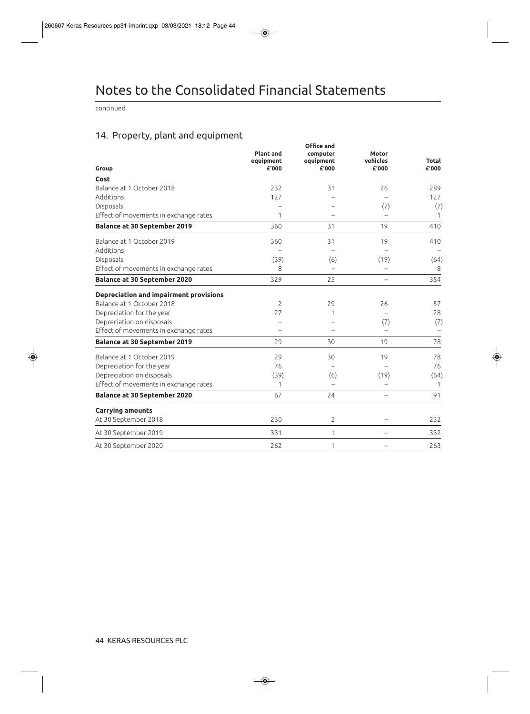continued

# 14. Property, plant and equipment

| Group                                  | <b>Plant and</b><br>equipment<br>£'000 | <b>Office and</b><br>computer<br>equipment<br>£'000 | <b>Motor</b><br>vehicles<br>£'000 | Total<br>£'000 |
|----------------------------------------|----------------------------------------|-----------------------------------------------------|-----------------------------------|----------------|
| Cost                                   |                                        |                                                     |                                   |                |
| Balance at 1 October 2018              | 232                                    | 31                                                  | 26                                | 289            |
| Additions                              | 127                                    |                                                     |                                   | 127            |
| Disposals                              |                                        |                                                     | (7)                               | (7)            |
| Effect of movements in exchange rates  | 1                                      |                                                     | $\overline{\phantom{0}}$          | 1              |
| <b>Balance at 30 September 2019</b>    | 360                                    | 31                                                  | 19                                | 410            |
| Balance at 1 October 2019              | 360                                    | 31                                                  | 19                                | 410            |
| Additions                              |                                        |                                                     |                                   |                |
| Disposals                              | (39)                                   | (6)                                                 | (19)                              | (64)           |
| Effect of movements in exchange rates  | 8                                      |                                                     |                                   | 8              |
| <b>Balance at 30 September 2020</b>    | 329                                    | 25                                                  |                                   | 354            |
| Depreciation and impairment provisions |                                        |                                                     |                                   |                |
| Balance at 1 October 2018              | $\overline{2}$                         | 29                                                  | 26                                | 57             |
| Depreciation for the year              | 27                                     | 1                                                   |                                   | 28             |
| Depreciation on disposals              |                                        |                                                     | (7)                               | (7)            |
| Effect of movements in exchange rates  |                                        |                                                     | $\overline{\phantom{0}}$          |                |
| <b>Balance at 30 September 2019</b>    | 29                                     | 30                                                  | 19                                | 78             |
| Balance at 1 October 2019              | 29                                     | 30                                                  | 19                                | 78             |
| Depreciation for the year              | 76                                     |                                                     |                                   | 76             |
| Depreciation on disposals              | (39)                                   | (6)                                                 | (19)                              | (64)           |
| Effect of movements in exchange rates  | 1                                      |                                                     | $\overline{a}$                    | 1              |
| <b>Balance at 30 September 2020</b>    | 67                                     | 24                                                  |                                   | 91             |
| <b>Carrying amounts</b>                |                                        |                                                     |                                   |                |
| At 30 September 2018                   | 230                                    | $\overline{2}$                                      |                                   | 232            |
| At 30 September 2019                   | 331                                    | 1                                                   |                                   | 332            |
| At 30 September 2020                   | 262                                    | 1                                                   |                                   | 263            |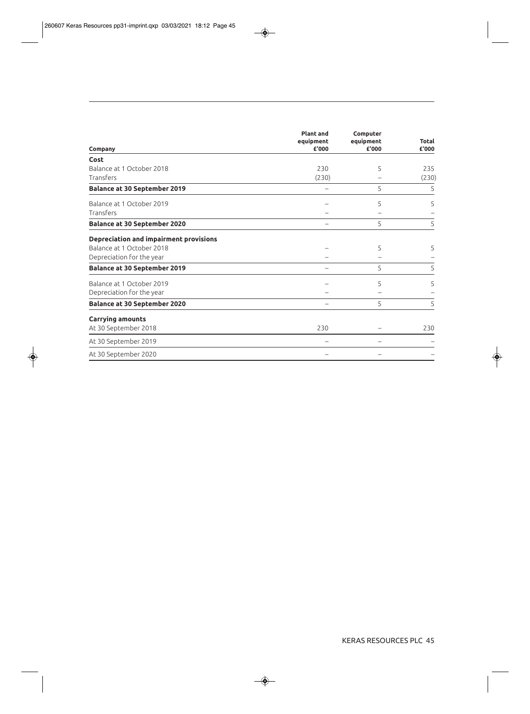| Company                                | <b>Plant and</b><br>equipment<br>£'000 | Computer<br>equipment<br>£'000 | <b>Total</b><br>£'000 |
|----------------------------------------|----------------------------------------|--------------------------------|-----------------------|
| Cost                                   |                                        |                                |                       |
| Balance at 1 October 2018              | 230                                    | 5                              | 235                   |
| Transfers                              | (230)                                  |                                | (230)                 |
| <b>Balance at 30 September 2019</b>    |                                        | 5                              | 5                     |
| Balance at 1 October 2019              |                                        | 5                              | 5                     |
| Transfers                              |                                        |                                |                       |
| <b>Balance at 30 September 2020</b>    |                                        | 5                              | 5                     |
| Depreciation and impairment provisions |                                        |                                |                       |
| Balance at 1 October 2018              |                                        | 5                              | 5.                    |
| Depreciation for the year              |                                        |                                |                       |
| <b>Balance at 30 September 2019</b>    |                                        | 5                              | 5                     |
| Balance at 1 October 2019              |                                        | 5                              | 5                     |
| Depreciation for the year              |                                        |                                |                       |
| <b>Balance at 30 September 2020</b>    |                                        | 5                              | 5                     |
| <b>Carrying amounts</b>                |                                        |                                |                       |
| At 30 September 2018                   | 230                                    |                                | 230                   |
| At 30 September 2019                   |                                        |                                |                       |
| At 30 September 2020                   |                                        |                                |                       |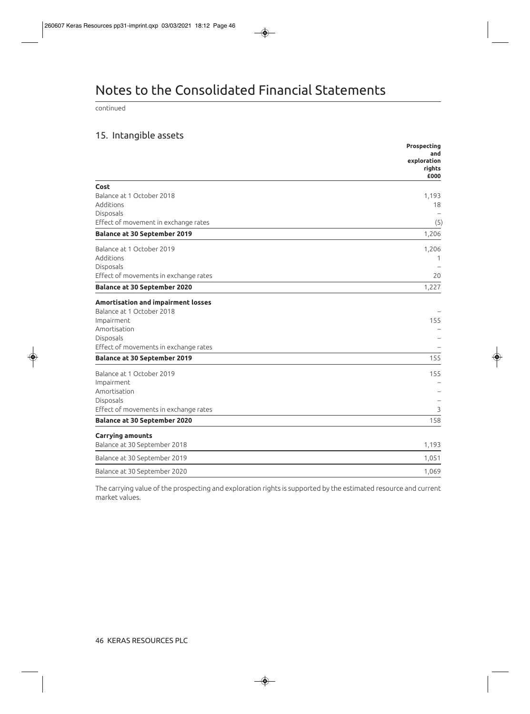# Notes to the Consolidated Financial Statements

continued

# 15. Intangible assets

|                                                   | Prospecting<br>and<br>exploration<br>rights<br>£000 |
|---------------------------------------------------|-----------------------------------------------------|
| Cost                                              |                                                     |
| Balance at 1 October 2018                         | 1,193                                               |
| Additions                                         | 18                                                  |
| Disposals<br>Effect of movement in exchange rates | (5)                                                 |
| <b>Balance at 30 September 2019</b>               | 1,206                                               |
| Balance at 1 October 2019                         | 1,206                                               |
| Additions                                         | 1                                                   |
| Disposals                                         |                                                     |
| Effect of movements in exchange rates             | 20                                                  |
| <b>Balance at 30 September 2020</b>               | 1,227                                               |
| Amortisation and impairment losses                |                                                     |
| Balance at 1 October 2018                         |                                                     |
| Impairment                                        | 155                                                 |
| Amortisation                                      |                                                     |
| Disposals                                         |                                                     |
| Effect of movements in exchange rates             |                                                     |
| <b>Balance at 30 September 2019</b>               | 155                                                 |
| Balance at 1 October 2019                         | 155                                                 |
| Impairment                                        |                                                     |
| Amortisation                                      |                                                     |
| Disposals                                         |                                                     |
| Effect of movements in exchange rates             | 3                                                   |
| <b>Balance at 30 September 2020</b>               | 158                                                 |
| <b>Carrying amounts</b>                           |                                                     |
| Balance at 30 September 2018                      | 1,193                                               |
| Balance at 30 September 2019                      | 1,051                                               |
| Balance at 30 September 2020                      | 1,069                                               |

The carrying value of the prospecting and exploration rights is supported by the estimated resource and current market values.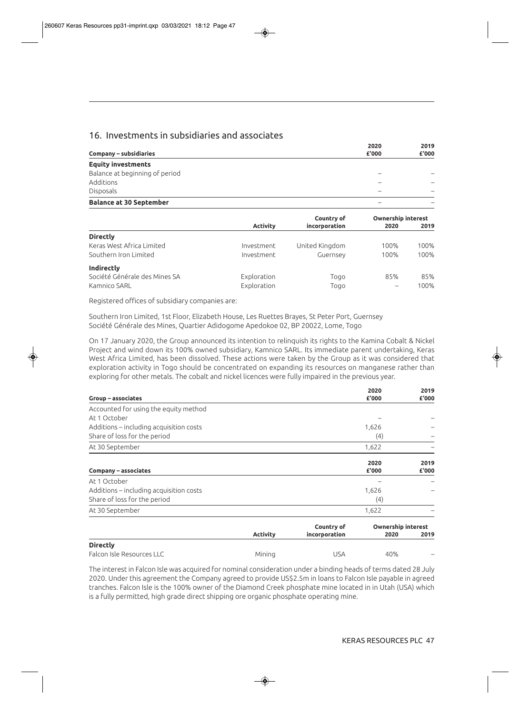## 16. Investments in subsidiaries and associates

|                                | 2020  | 2019  |
|--------------------------------|-------|-------|
| <b>Company – subsidiaries</b>  | £'000 | £'000 |
| <b>Equity investments</b>      |       |       |
| Balance at beginning of period |       |       |
| Additions                      |       |       |
| <b>Disposals</b>               | -     |       |
| <b>Balance at 30 September</b> |       |       |

|                 | <b>Ownership interest</b> |            |      |
|-----------------|---------------------------|------------|------|
| <b>Activity</b> | incorporation             | 2020       | 2019 |
|                 |                           |            |      |
| Investment      | United Kingdom            | 100%       | 100% |
| Investment      | Guernsey                  | 100%       | 100% |
|                 |                           |            |      |
| Exploration     | Togo                      | 85%        | 85%  |
| Exploration     | Togo                      |            | 100% |
|                 |                           | Country of |      |

Registered offices of subsidiary companies are:

Southern Iron Limited, 1st Floor, Elizabeth House, Les Ruettes Brayes, St Peter Port, Guernsey Société Générale des Mines, Quartier Adidogome Apedokoe 02, BP 20022, Lome, Togo

On 17 January 2020, the Group announced its intention to relinquish its rights to the Kamina Cobalt & Nickel Project and wind down its 100% owned subsidiary, Kamnico SARL. Its immediate parent undertaking, Keras West Africa Limited, has been dissolved. These actions were taken by the Group as it was considered that exploration activity in Togo should be concentrated on expanding its resources on manganese rather than exploring for other metals. The cobalt and nickel licences were fully impaired in the previous year.

| Group - associates                      |                 |               | 2020<br>£'000                     | 2019<br>£'000 |
|-----------------------------------------|-----------------|---------------|-----------------------------------|---------------|
| Accounted for using the equity method   |                 |               |                                   |               |
| At 1 October                            |                 |               |                                   |               |
| Additions – including acquisition costs |                 |               | 1,626                             |               |
| Share of loss for the period            |                 |               | (4)                               |               |
| At 30 September                         |                 |               | 1,622                             |               |
| Company – associates                    |                 |               | 2020<br>£'000                     | 2019<br>£'000 |
| At 1 October                            |                 |               |                                   |               |
| Additions – including acquisition costs |                 |               | 1,626                             |               |
| Share of loss for the period            |                 |               | (4)                               |               |
| At 30 September                         |                 |               | 1,622                             |               |
|                                         | <b>Activity</b> | Country of    | <b>Ownership interest</b><br>2020 | 2019          |
| <b>Directly</b>                         |                 | incorporation |                                   |               |
| Falcon Isle Resources LLC               | Mining          | <b>USA</b>    | 40%                               |               |

The interest in Falcon Isle was acquired for nominal consideration under a binding heads of terms dated 28 July 2020. Under this agreement the Company agreed to provide US\$2.5m in loans to Falcon Isle payable in agreed tranches. Falcon Isle is the 100% owner of the Diamond Creek phosphate mine located in in Utah (USA) which is a fully permitted, high grade direct shipping ore organic phosphate operating mine.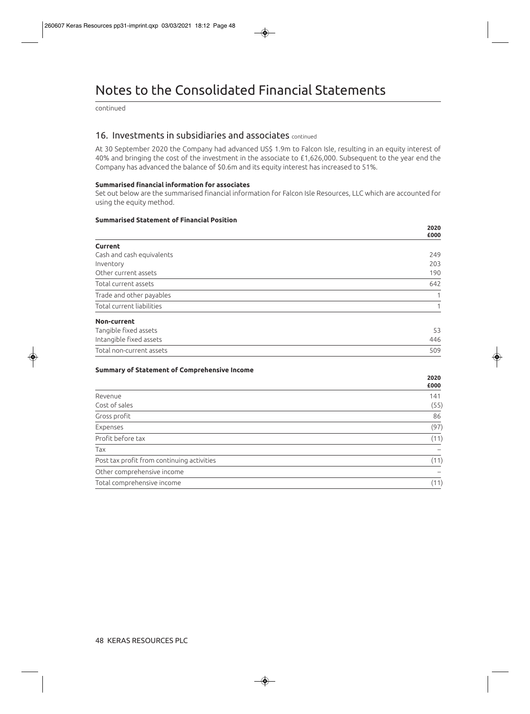# Notes to the Consolidated Financial Statements

continued

### 16. Investments in subsidiaries and associates continued

At 30 September 2020 the Company had advanced US\$ 1.9m to Falcon Isle, resulting in an equity interest of 40% and bringing the cost of the investment in the associate to £1,626,000. Subsequent to the year end the Company has advanced the balance of \$0.6m and its equity interest has increased to 51%.

#### **Summarised financial information for associates**

Set out below are the summarised financial information for Falcon Isle Resources, LLC which are accounted for using the equity method.

#### **Summarised Statement of Financial Position**

|                           | 2020<br>£000 |
|---------------------------|--------------|
| <b>Current</b>            |              |
| Cash and cash equivalents | 249          |
| Inventory                 | 203          |
| Other current assets      | 190          |
| Total current assets      | 642          |
| Trade and other payables  |              |
| Total current liabilities |              |
| Non-current               |              |
| Tangible fixed assets     | 53           |
| Intangible fixed assets   | 446          |
| Total non-current assets  | 509          |

#### **Summary of Statement of Comprehensive Income**

|                                            | £000 |
|--------------------------------------------|------|
| Revenue                                    | 141  |
| Cost of sales                              | (55) |
| Gross profit                               | 86   |
| Expenses                                   | (97) |
| Profit before tax                          | (11) |
| Tax                                        |      |
| Post tax profit from continuing activities | (11) |
| Other comprehensive income                 |      |
| Total comprehensive income                 | (11) |
|                                            |      |

**2020**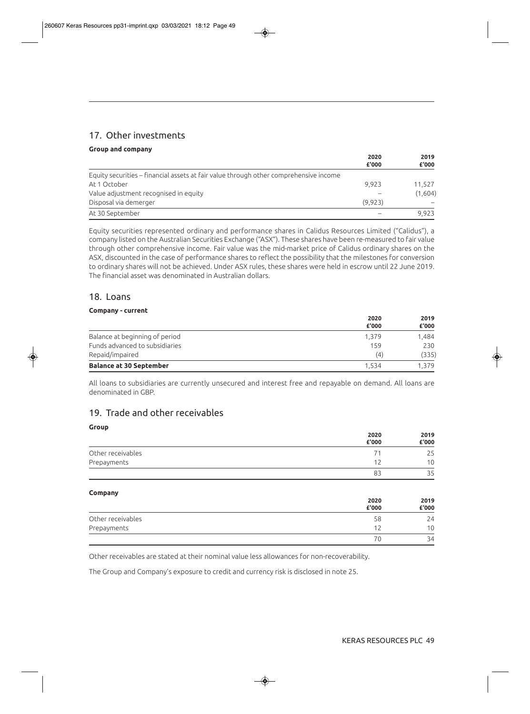# 17. Other investments

#### **Group and company**

|                                                                                       | 2020    | 2019<br>£'000 |
|---------------------------------------------------------------------------------------|---------|---------------|
|                                                                                       | £'000   |               |
| Equity securities – financial assets at fair value through other comprehensive income |         |               |
| At 1 October                                                                          | 9.923   | 11,527        |
| Value adjustment recognised in equity                                                 |         | (1,604)       |
| Disposal via demerger                                                                 | (9.923) |               |
| At 30 September                                                                       |         | 9.923         |

Equity securities represented ordinary and performance shares in Calidus Resources Limited ("Calidus"), a company listed on the Australian Securities Exchange ("ASX"). These shares have been re-measured to fair value through other comprehensive income. Fair value was the mid-market price of Calidus ordinary shares on the ASX, discounted in the case of performance shares to reflect the possibility that the milestones for conversion to ordinary shares will not be achieved. Under ASX rules, these shares were held in escrow until 22 June 2019. The financial asset was denominated in Australian dollars.

## 18. Loans

#### **Company - current**

| <b>Balance at 30 September</b> | 1.534         | 1.379         |
|--------------------------------|---------------|---------------|
| Repaid/impaired                | (4)           | (335)         |
| Funds advanced to subsidiaries | 159           | 230           |
| Balance at beginning of period | 1.379         | 1.484         |
|                                | 2020<br>£'000 | 2019<br>£'000 |

All loans to subsidiaries are currently unsecured and interest free and repayable on demand. All loans are denominated in GBP.

## 19. Trade and other receivables

#### **Group 2020 2019 £'000 £'000**  Other receivables 25 and 25 and 26 and 26 and 26 and 26 and 26 and 26 and 26 and 26 and 26 and 26 and 26 and 26 Prepayments 10 83 35

#### **Company**

| __                | 2020<br>£'000 | 2019<br>£'000 |
|-------------------|---------------|---------------|
| Other receivables | 58            | 24            |
| Prepayments       |               | 10            |
|                   | 70            | 34            |

Other receivables are stated at their nominal value less allowances for non-recoverability.

The Group and Company's exposure to credit and currency risk is disclosed in note 25.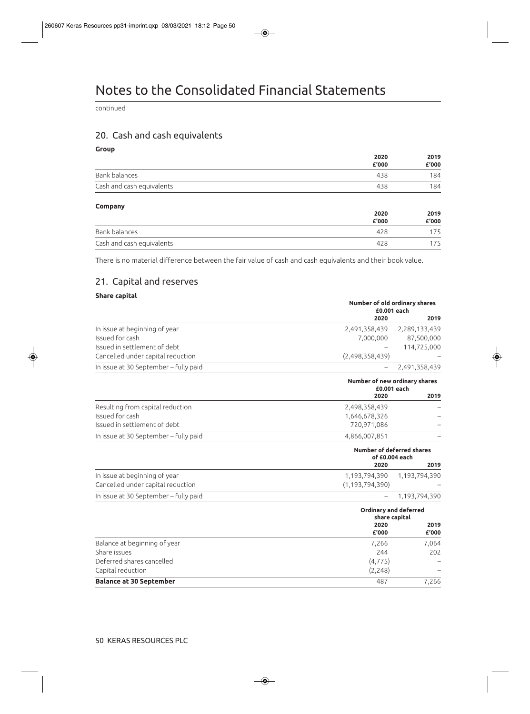continued

# 20. Cash and cash equivalents

**Group** 

|                           | 2020  | 2019<br>£'000 |
|---------------------------|-------|---------------|
|                           | £'000 |               |
| Bank balances             | 438   | 184           |
| Cash and cash equivalents | 438   | 184           |

#### **Company**

|                           | 2020<br>£'000 | 2019<br>£'000 |
|---------------------------|---------------|---------------|
| Bank balances             | 428           | 175           |
| Cash and cash equivalents | 428           |               |

There is no material difference between the fair value of cash and cash equivalents and their book value.

## 21. Capital and reserves

#### **Share capital**

|                                       | Number of old ordinary shares<br>£0.001 each       |                              |  |
|---------------------------------------|----------------------------------------------------|------------------------------|--|
|                                       | 2020                                               | 2019                         |  |
| In issue at beginning of year         | 2,491,358,439                                      | 2,289,133,439                |  |
| Issued for cash                       | 7,000,000                                          | 87,500,000                   |  |
| Issued in settlement of debt          |                                                    | 114,725,000                  |  |
| Cancelled under capital reduction     | (2,498,358,439)                                    |                              |  |
| In issue at 30 September - fully paid |                                                    | 2,491,358,439                |  |
|                                       | Number of new ordinary shares<br>£0.001 each       |                              |  |
|                                       | 2020                                               | 2019                         |  |
| Resulting from capital reduction      | 2,498,358,439                                      |                              |  |
| Issued for cash                       | 1,646,678,326                                      |                              |  |
| Issued in settlement of debt          | 720,971,086                                        |                              |  |
| In issue at 30 September - fully paid | 4,866,007,851                                      |                              |  |
|                                       | <b>Number of deferred shares</b><br>of £0.004 each |                              |  |
|                                       | 2020                                               | 2019                         |  |
| In issue at beginning of year         | 1,193,794,390                                      | 1,193,794,390                |  |
| Cancelled under capital reduction     | (1, 193, 794, 390)                                 |                              |  |
| In issue at 30 September - fully paid |                                                    | 1,193,794,390                |  |
|                                       |                                                    | <b>Ordinary and deferred</b> |  |
|                                       |                                                    | share capital                |  |
|                                       | 2020<br>£'000                                      | 2019<br>£'000                |  |
| Balance at beginning of year          | 7,266                                              | 7,064                        |  |
| Share issues                          | 244                                                | 202                          |  |
| Deferred shares cancelled             | (4, 775)                                           |                              |  |
| Capital reduction                     | (2, 248)                                           |                              |  |
| <b>Balance at 30 September</b>        | 487                                                | 7,266                        |  |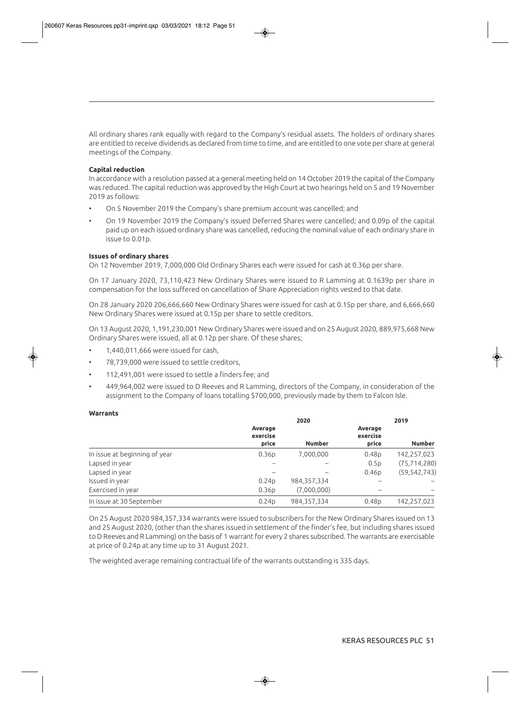All ordinary shares rank equally with regard to the Company's residual assets. The holders of ordinary shares are entitled to receive dividends as declared from time to time, and are entitled to one vote per share at general meetings of the Company.

#### **Capital reduction**

In accordance with a resolution passed at a general meeting held on 14 October 2019 the capital of the Company was reduced. The capital reduction was approved by the High Court at two hearings held on 5 and 19 November 2019 as follows:

- On 5 November 2019 the Company's share premium account was cancelled; and
- On 19 November 2019 the Company's issued Deferred Shares were cancelled; and 0.09p of the capital paid up on each issued ordinary share was cancelled, reducing the nominal value of each ordinary share in issue to 0.01p.

#### **Issues of ordinary shares**

On 12 November 2019, 7,000,000 Old Ordinary Shares each were issued for cash at 0.36p per share.

On 17 January 2020, 73,110,423 New Ordinary Shares were issued to R Lamming at 0.1639p per share in compensation for the loss suffered on cancellation of Share Appreciation rights vested to that date.

On 28 January 2020 206,666,660 New Ordinary Shares were issued for cash at 0.15p per share, and 6,666,660 New Ordinary Shares were issued at 0.15p per share to settle creditors.

On 13 August 2020, 1,191,230,001 New Ordinary Shares were issued and on 25 August 2020, 889,975,668 New Ordinary Shares were issued, all at 0.12p per share. Of these shares;

- 1,440,011,666 were issued for cash,
- 78,739,000 were issued to settle creditors,
- 112,491,001 were issued to settle a finders fee; and
- 449,964,002 were issued to D Reeves and R Lamming, directors of the Company, in consideration of the assignment to the Company of loans totalling \$700,000, previously made by them to Falcon Isle.

#### **Warrants**

|                               | 2020                         |               |                              | 2019           |  |
|-------------------------------|------------------------------|---------------|------------------------------|----------------|--|
|                               | Average<br>exercise<br>price | <b>Number</b> | Average<br>exercise<br>price | <b>Number</b>  |  |
| In issue at beginning of year | 0.36 <sub>D</sub>            | 7,000,000     | 0.48 <sub>D</sub>            | 142,257,023    |  |
| Lapsed in year                |                              |               | 0.5p                         | (75, 714, 280) |  |
| Lapsed in year                |                              |               | 0.46 <sub>D</sub>            | (59, 542, 743) |  |
| Issued in year                | 0.24 <sub>D</sub>            | 984, 357, 334 |                              |                |  |
| Exercised in year             | 0.36 <sub>D</sub>            | (7,000,000)   |                              |                |  |
| In issue at 30 September      | 0.24 <sub>D</sub>            | 984, 357, 334 | 0.48 <sub>D</sub>            | 142,257,023    |  |

On 25 August 2020 984,357,334 warrants were issued to subscribers for the New Ordinary Shares issued on 13 and 25 August 2020, (other than the shares issued in settlement of the finder's fee, but including shares issued to D Reeves and R Lamming) on the basis of 1 warrant for every 2 shares subscribed. The warrants are exercisable at price of 0.24p at any time up to 31 August 2021.

The weighted average remaining contractual life of the warrants outstanding is 335 days.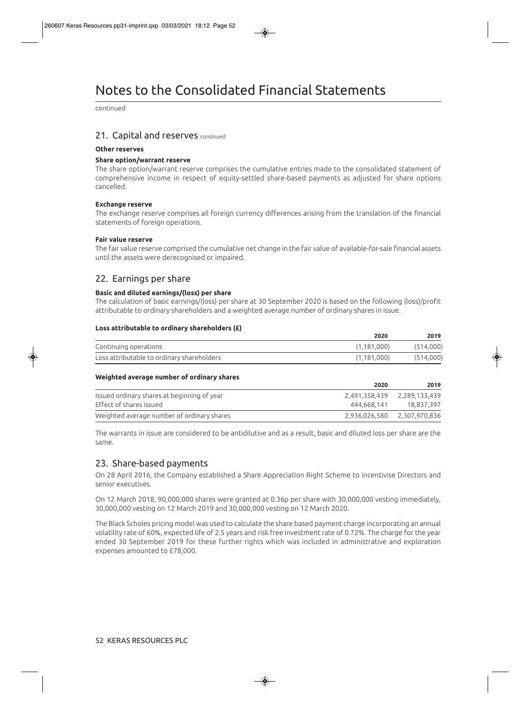continued

### 21. Capital and reserves continued

#### **Other reserves**

#### **Share option/warrant reserve**

The share option/warrant reserve comprises the cumulative entries made to the consolidated statement of comprehensive income in respect of equity-settled share-based payments as adjusted for share options cancelled.

#### **Exchange reserve**

The exchange reserve comprises all foreign currency differences arising from the translation of the financial statements of foreign operations.

#### **Fair value reserve**

The fair value reserve comprised the cumulative net change in the fair value of available-for-sale financial assets until the assets were derecognised or impaired.

## 22. Earnings per share

#### **Basic and diluted earnings/(loss) per share**

The calculation of basic earnings/(loss) per share at 30 September 2020 is based on the following (loss)/profit attributable to ordinary shareholders and a weighted average number of ordinary shares in issue.

#### **Loss attributable to ordinary shareholders (£)**

|                                            | 2020        | 2019      |
|--------------------------------------------|-------------|-----------|
| Continuing operations                      | (1.181.000) | (514,000) |
| Loss attributable to ordinary shareholders | (1.181.000) | (514,000) |

#### **Weighted average number of ordinary shares**

|                                             | 2020                        | 2019          |
|---------------------------------------------|-----------------------------|---------------|
| Issued ordinary shares at beginning of year | 2,491,358,439               | 2,289,133,439 |
| Effect of shares issued                     | 444.668.141                 | 18.837.397    |
| Weighted average number of ordinary shares  | 2,936,026,580 2,307,970,836 |               |

The warrants in issue are considered to be antidilutive and as a result, basic and diluted loss per share are the same.

## 23. Share-based payments

On 28 April 2016, the Company established a Share Appreciation Right Scheme to incentivise Directors and senior executives.

On 12 March 2018, 90,000,000 shares were granted at 0.36p per share with 30,000,000 vesting immediately, 30,000,000 vesting on 12 March 2019 and 30,000,000 vesting on 12 March 2020.

The Black Scholes pricing model was used to calculate the share based payment charge incorporating an annual volatility rate of 60%, expected life of 2.5 years and risk free investment rate of 0.72%. The charge for the year ended 30 September 2019 for these further rights which was included in administrative and exploration expenses amounted to £78,000.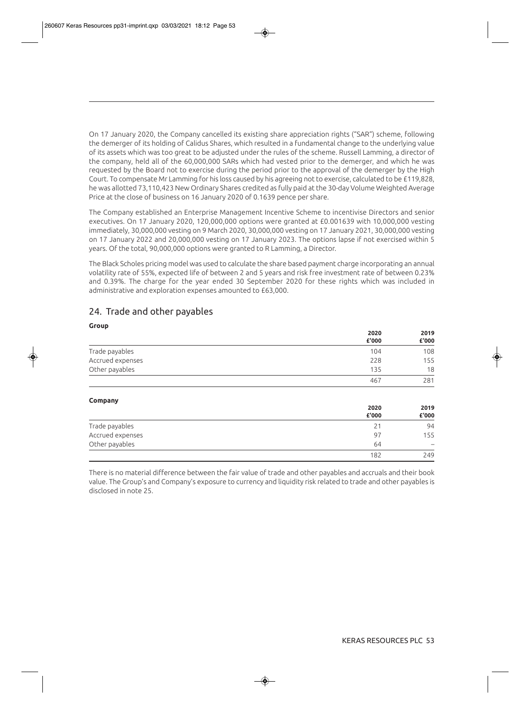On 17 January 2020, the Company cancelled its existing share appreciation rights ("SAR") scheme, following the demerger of its holding of Calidus Shares, which resulted in a fundamental change to the underlying value of its assets which was too great to be adjusted under the rules of the scheme. Russell Lamming, a director of the company, held all of the 60,000,000 SARs which had vested prior to the demerger, and which he was requested by the Board not to exercise during the period prior to the approval of the demerger by the High Court. To compensate Mr Lamming for his loss caused by his agreeing not to exercise, calculated to be £119,828, he was allotted 73,110,423 New Ordinary Shares credited as fully paid at the 30-day Volume Weighted Average Price at the close of business on 16 January 2020 of 0.1639 pence per share.

The Company established an Enterprise Management Incentive Scheme to incentivise Directors and senior executives. On 17 January 2020, 120,000,000 options were granted at £0.001639 with 10,000,000 vesting immediately, 30,000,000 vesting on 9 March 2020, 30,000,000 vesting on 17 January 2021, 30,000,000 vesting on 17 January 2022 and 20,000,000 vesting on 17 January 2023. The options lapse if not exercised within 5 years. Of the total, 90,000,000 options were granted to R Lamming, a Director.

The Black Scholes pricing model was used to calculate the share based payment charge incorporating an annual volatility rate of 55%, expected life of between 2 and 5 years and risk free investment rate of between 0.23% and 0.39%. The charge for the year ended 30 September 2020 for these rights which was included in administrative and exploration expenses amounted to £63,000.

## 24. Trade and other payables

| Group            |       |       |
|------------------|-------|-------|
|                  | 2020  | 2019  |
|                  | £'000 | £'000 |
| Trade payables   | 104   | 108   |
| Accrued expenses | 228   | 155   |
| Other payables   | 135   | 18    |
|                  | 467   | 281   |
|                  |       |       |

#### **Company**

| . .<br>__        | 2020<br>£'000 | 2019<br>£'000            |
|------------------|---------------|--------------------------|
| Trade payables   | 21            | 94                       |
| Accrued expenses | 97            | 155                      |
| Other payables   | 64            | $\overline{\phantom{a}}$ |
|                  | 182           | 249                      |

There is no material difference between the fair value of trade and other payables and accruals and their book value. The Group's and Company's exposure to currency and liquidity risk related to trade and other payables is disclosed in note 25.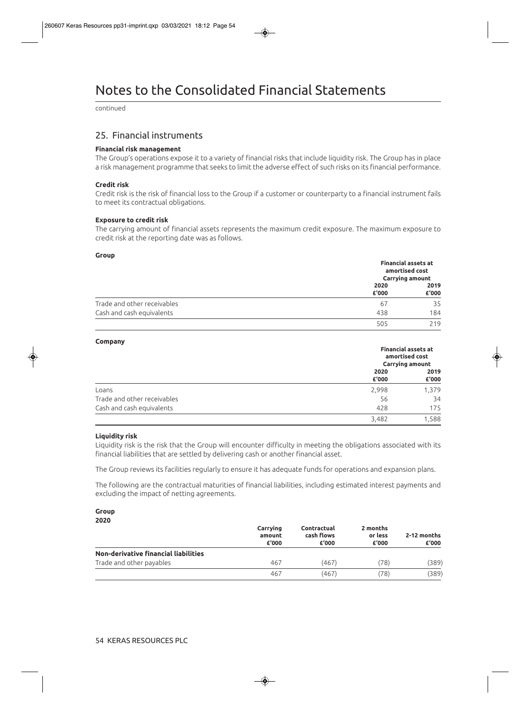continued

## 25. Financial instruments

#### **Financial risk management**

The Group's operations expose it to a variety of financial risks that include liquidity risk. The Group has in place a risk management programme that seeks to limit the adverse effect of such risks on its financial performance.

#### **Credit risk**

Credit risk is the risk of financial loss to the Group if a customer or counterparty to a financial instrument fails to meet its contractual obligations.

#### **Exposure to credit risk**

The carrying amount of financial assets represents the maximum credit exposure. The maximum exposure to credit risk at the reporting date was as follows.

#### **Group**

|                             |               | <b>Financial assets at</b><br>amortised cost<br><b>Carrying amount</b> |  |
|-----------------------------|---------------|------------------------------------------------------------------------|--|
|                             | 2020<br>£'000 | 2019<br>£'000                                                          |  |
| Trade and other receivables | 67            | 35                                                                     |  |
| Cash and cash equivalents   | 438           | 184                                                                    |  |
|                             | 505           | 219                                                                    |  |

#### **Company**

|                             | <b>Financial assets at</b><br>amortised cost<br><b>Carrying amount</b> |               |
|-----------------------------|------------------------------------------------------------------------|---------------|
|                             | 2020<br>£'000                                                          | 2019<br>£'000 |
| Loans                       | 2,998                                                                  | 1,379         |
| Trade and other receivables | 56                                                                     | 34            |
| Cash and cash equivalents   | 428                                                                    | 175           |
|                             | 3,482                                                                  | 1,588         |

#### **Liquidity risk**

Liquidity risk is the risk that the Group will encounter difficulty in meeting the obligations associated with its financial liabilities that are settled by delivering cash or another financial asset.

The Group reviews its facilities regularly to ensure it has adequate funds for operations and expansion plans.

The following are the contractual maturities of financial liabilities, including estimated interest payments and excluding the impact of netting agreements.

#### **Group 2020**

| <u>Lulu</u>                          | Carrying<br>amount<br>£'000 | Contractual<br>cash flows<br>£'000 | 2 months<br>or less<br>£'000 | 2-12 months<br>£'000 |
|--------------------------------------|-----------------------------|------------------------------------|------------------------------|----------------------|
| Non-derivative financial liabilities |                             |                                    |                              |                      |
| Trade and other payables             | 467                         | (467)                              | (78)                         | (389)                |
|                                      | 467                         | (467)                              | (78)                         | (389)                |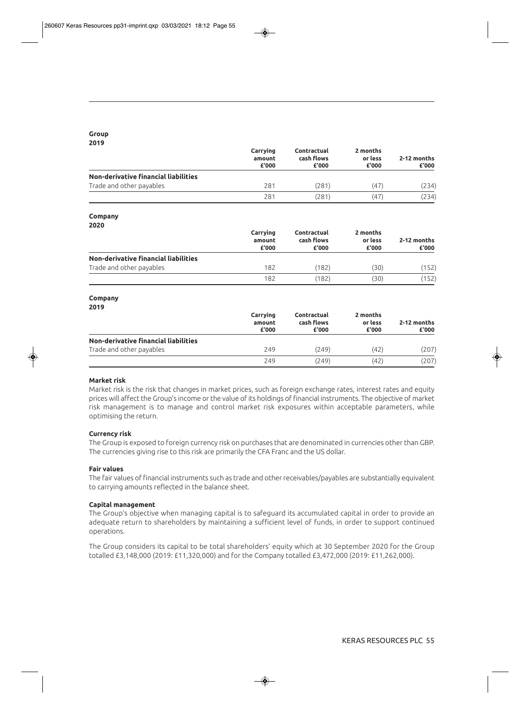#### **Group 2019**

|                                      | Carrying<br>amount<br>£'000 | Contractual<br>cash flows<br>£'000 | 2 months<br>or less<br>£'000 | 2-12 months<br>£'000 |
|--------------------------------------|-----------------------------|------------------------------------|------------------------------|----------------------|
| Non-derivative financial liabilities |                             |                                    |                              |                      |
| Trade and other payables             | 281                         | (281)                              | (47)                         | (234)                |
|                                      | 281                         | (281)                              | (47)                         | (234)                |

#### **Company**

**2020** 

|                                      | Carrying<br>amount<br>£'000 | Contractual<br>cash flows<br>£'000 | 2 months<br>or less<br>£'000 | 2-12 months<br>£'000 |
|--------------------------------------|-----------------------------|------------------------------------|------------------------------|----------------------|
| Non-derivative financial liabilities |                             |                                    |                              |                      |
| Trade and other payables             | 182                         | (182)                              | (30)                         | 152)                 |
|                                      | 182                         | (182)                              | (30)                         | 152)                 |

#### **Company**

| ۰,      |
|---------|
| ۰.<br>× |

|                                      | Carrying<br>amount<br>£'000 | Contractual<br>cash flows<br>£'000 | 2 months<br>or less<br>£'000 | 2-12 months<br>£'000 |
|--------------------------------------|-----------------------------|------------------------------------|------------------------------|----------------------|
| Non-derivative financial liabilities |                             |                                    |                              |                      |
| Trade and other payables             | 249                         | (249)                              | (42)                         | (207)                |
|                                      | 249                         | (249)                              | (42)                         | (207)                |

#### **Market risk**

Market risk is the risk that changes in market prices, such as foreign exchange rates, interest rates and equity prices will affect the Group's income or the value of its holdings of financial instruments. The objective of market risk management is to manage and control market risk exposures within acceptable parameters, while optimising the return.

#### **Currency risk**

The Group is exposed to foreign currency risk on purchases that are denominated in currencies other than GBP. The currencies giving rise to this risk are primarily the CFA Franc and the US dollar.

#### **Fair values**

The fair values of financial instruments such as trade and other receivables/payables are substantially equivalent to carrying amounts reflected in the balance sheet.

#### **Capital management**

The Group's objective when managing capital is to safeguard its accumulated capital in order to provide an adequate return to shareholders by maintaining a sufficient level of funds, in order to support continued operations.

The Group considers its capital to be total shareholders' equity which at 30 September 2020 for the Group totalled £3,148,000 (2019: £11,320,000) and for the Company totalled £3,472,000 (2019: £11,262,000).